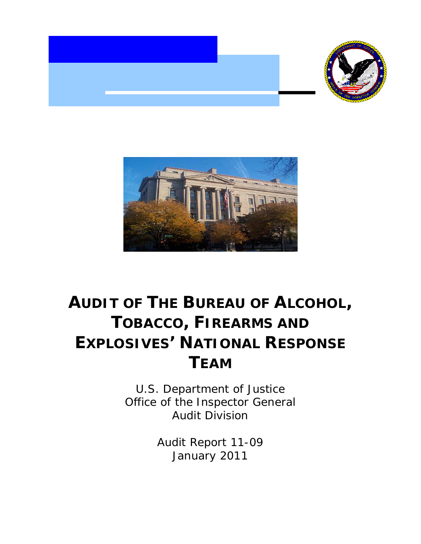



# **AUDIT OF THE BUREAU OF ALCOHOL, TOBACCO, FIREARMS AND EXPLOSIVES' NATIONAL RESPONSE TEAM**

U.S. Department of Justice Office of the Inspector General Audit Division

> Audit Report 11-09 January 2011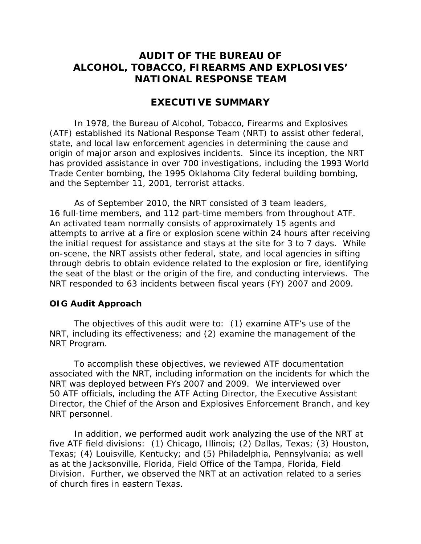# **AUDIT OF THE BUREAU OF ALCOHOL, TOBACCO, FIREARMS AND EXPLOSIVES' NATIONAL RESPONSE TEAM**

#### **EXECUTIVE SUMMARY**

In 1978, the Bureau of Alcohol, Tobacco, Firearms and Explosives (ATF) established its National Response Team (NRT) to assist other federal, state, and local law enforcement agencies in determining the cause and origin of major arson and explosives incidents. Since its inception, the NRT has provided assistance in over 700 investigations, including the 1993 World Trade Center bombing, the 1995 Oklahoma City federal building bombing, and the September 11, 2001, terrorist attacks.

As of September 2010, the NRT consisted of 3 team leaders, 16 full-time members, and 112 part-time members from throughout ATF. An activated team normally consists of approximately 15 agents and attempts to arrive at a fire or explosion scene within 24 hours after receiving the initial request for assistance and stays at the site for 3 to 7 days. While on-scene, the NRT assists other federal, state, and local agencies in sifting through debris to obtain evidence related to the explosion or fire, identifying the seat of the blast or the origin of the fire, and conducting interviews. The NRT responded to 63 incidents between fiscal years (FY) 2007 and 2009.

#### **OIG Audit Approach**

The objectives of this audit were to: (1) examine ATF's use of the NRT, including its effectiveness; and (2) examine the management of the NRT Program.

To accomplish these objectives, we reviewed ATF documentation associated with the NRT, including information on the incidents for which the NRT was deployed between FYs 2007 and 2009. We interviewed over 50 ATF officials, including the ATF Acting Director, the Executive Assistant Director, the Chief of the Arson and Explosives Enforcement Branch, and key NRT personnel.

In addition, we performed audit work analyzing the use of the NRT at five ATF field divisions: (1) Chicago, Illinois; (2) Dallas, Texas; (3) Houston, Texas; (4) Louisville, Kentucky; and (5) Philadelphia, Pennsylvania; as well as at the Jacksonville, Florida, Field Office of the Tampa, Florida, Field Division. Further, we observed the NRT at an activation related to a series of church fires in eastern Texas.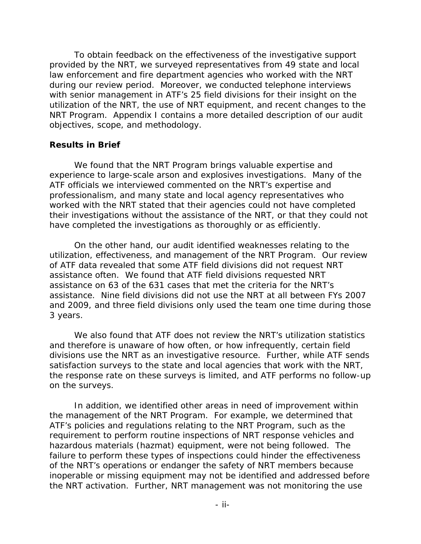To obtain feedback on the effectiveness of the investigative support provided by the NRT, we surveyed representatives from 49 state and local law enforcement and fire department agencies who worked with the NRT during our review period. Moreover, we conducted telephone interviews with senior management in ATF's 25 field divisions for their insight on the utilization of the NRT, the use of NRT equipment, and recent changes to the NRT Program. Appendix I contains a more detailed description of our audit objectives, scope, and methodology.

#### **Results in Brief**

We found that the NRT Program brings valuable expertise and experience to large-scale arson and explosives investigations. Many of the ATF officials we interviewed commented on the NRT's expertise and professionalism, and many state and local agency representatives who worked with the NRT stated that their agencies could not have completed their investigations without the assistance of the NRT, or that they could not have completed the investigations as thoroughly or as efficiently.

On the other hand, our audit identified weaknesses relating to the utilization, effectiveness, and management of the NRT Program. Our review of ATF data revealed that some ATF field divisions did not request NRT assistance often. We found that ATF field divisions requested NRT assistance on 63 of the 631 cases that met the criteria for the NRT's assistance. Nine field divisions did not use the NRT at all between FYs 2007 and 2009, and three field divisions only used the team one time during those 3 years.

We also found that ATF does not review the NRT's utilization statistics and therefore is unaware of how often, or how infrequently, certain field divisions use the NRT as an investigative resource. Further, while ATF sends satisfaction surveys to the state and local agencies that work with the NRT, the response rate on these surveys is limited, and ATF performs no follow-up on the surveys.

In addition, we identified other areas in need of improvement within the management of the NRT Program. For example, we determined that ATF's policies and regulations relating to the NRT Program, such as the requirement to perform routine inspections of NRT response vehicles and hazardous materials (hazmat) equipment, were not being followed. The failure to perform these types of inspections could hinder the effectiveness of the NRT's operations or endanger the safety of NRT members because inoperable or missing equipment may not be identified and addressed before the NRT activation. Further, NRT management was not monitoring the use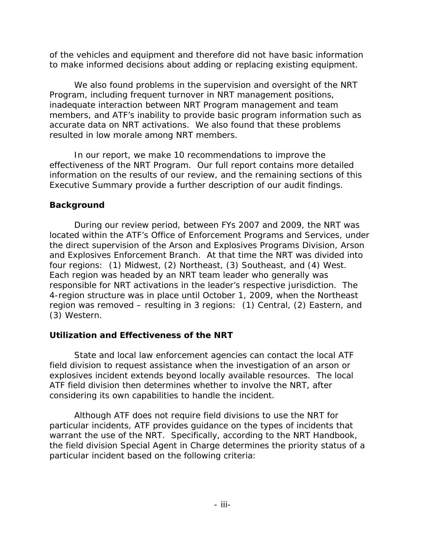of the vehicles and equipment and therefore did not have basic information

 to make informed decisions about adding or replacing existing equipment. We also found problems in the supervision and oversight of the NRT Program, including frequent turnover in NRT management positions, inadequate interaction between NRT Program management and team members, and ATF's inability to provide basic program information such as accurate data on NRT activations. We also found that these problems resulted in low morale among NRT members.

In our report, we make 10 recommendations to improve the effectiveness of the NRT Program. Our full report contains more detailed information on the results of our review, and the remaining sections of this Executive Summary provide a further description of our audit findings.

## **Background**

During our review period, between FYs 2007 and 2009, the NRT was located within the ATF's Office of Enforcement Programs and Services, under the direct supervision of the Arson and Explosives Programs Division, Arson and Explosives Enforcement Branch. At that time the NRT was divided into four regions: (1) Midwest, (2) Northeast, (3) Southeast, and (4) West. Each region was headed by an NRT team leader who generally was responsible for NRT activations in the leader's respective jurisdiction. The 4-region structure was in place until October 1, 2009, when the Northeast region was removed – resulting in 3 regions: (1) Central, (2) Eastern, and (3) Western.

# **Utilization and Effectiveness of the NRT**

State and local law enforcement agencies can contact the local ATF field division to request assistance when the investigation of an arson or explosives incident extends beyond locally available resources. The local ATF field division then determines whether to involve the NRT, after considering its own capabilities to handle the incident.

Although ATF does not require field divisions to use the NRT for particular incidents, ATF provides guidance on the types of incidents that warrant the use of the NRT. Specifically, according to the NRT Handbook, the field division Special Agent in Charge determines the priority status of a particular incident based on the following criteria: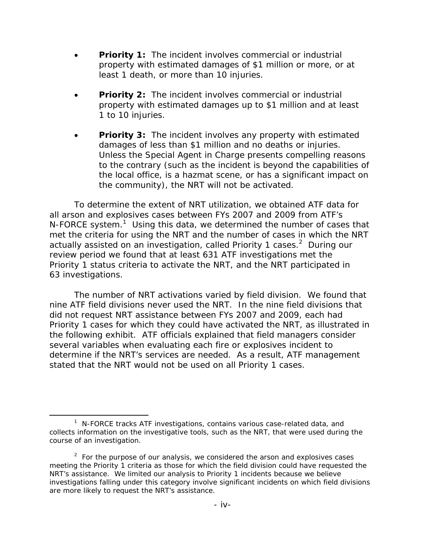- **Priority 1:** The incident involves commercial or industrial property with estimated damages of \$1 million or more, or at least 1 death, or more than 10 injuries.
- **Priority 2:** The incident involves commercial or industrial property with estimated damages up to \$1 million and at least 1 to 10 injuries.
- **Priority 3:** The incident involves any property with estimated damages of less than \$1 million and no deaths or injuries. Unless the Special Agent in Charge presents compelling reasons to the contrary (such as the incident is beyond the capabilities of the local office, is a hazmat scene, or has a significant impact on the community), the NRT will not be activated.

To determine the extent of NRT utilization, we obtained ATF data for all arson and explosives cases between FYs 2007 and 2009 from ATF's N-FORCE system.<sup>1</sup> Using this data, we determined the number of cases that met the criteria for using the NRT and the number of cases in which the NRT actually assisted on an investigation, called Priority 1 cases. $2$  During our review period we found that at least 631 ATF investigations met the Priority 1 status criteria to activate the NRT, and the NRT participated in 63 investigations.

The number of NRT activations varied by field division. We found that nine ATF field divisions never used the NRT. In the nine field divisions that did not request NRT assistance between FYs 2007 and 2009, each had Priority 1 cases for which they could have activated the NRT, as illustrated in the following exhibit. ATF officials explained that field managers consider several variables when evaluating each fire or explosives incident to determine if the NRT's services are needed. As a result, ATF management stated that the NRT would not be used on all Priority 1 cases.

 $\overline{a}$ 

<sup>&</sup>lt;sup>1</sup> N-FORCE tracks ATF investigations, contains various case-related data, and collects information on the investigative tools, such as the NRT, that were used during the course of an investigation.

 $2$  For the purpose of our analysis, we considered the arson and explosives cases meeting the Priority 1 criteria as those for which the field division could have requested the NRT's assistance. We limited our analysis to Priority 1 incidents because we believe investigations falling under this category involve significant incidents on which field divisions are more likely to request the NRT's assistance.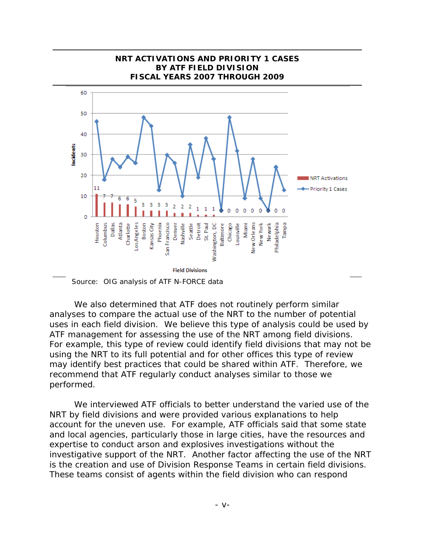

We also determined that ATF does not routinely perform similar analyses to compare the actual use of the NRT to the number of potential uses in each field division. We believe this type of analysis could be used by ATF management for assessing the use of the NRT among field divisions. For example, this type of review could identify field divisions that may not be using the NRT to its full potential and for other offices this type of review may identify best practices that could be shared within ATF. Therefore, we recommend that ATF regularly conduct analyses similar to those we performed.

We interviewed ATF officials to better understand the varied use of the NRT by field divisions and were provided various explanations to help account for the uneven use. For example, ATF officials said that some state and local agencies, particularly those in large cities, have the resources and expertise to conduct arson and explosives investigations without the investigative support of the NRT. Another factor affecting the use of the NRT is the creation and use of Division Response Teams in certain field divisions. These teams consist of agents within the field division who can respond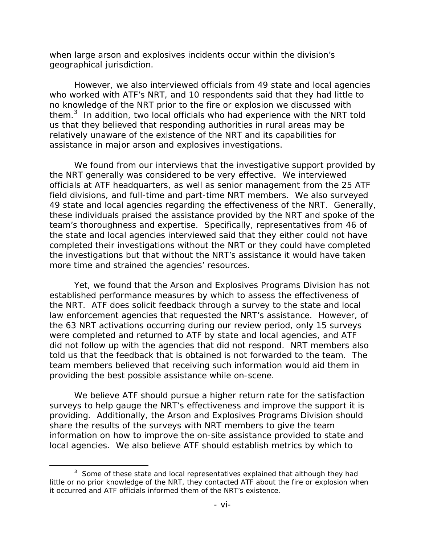when large arson and explosives incidents occur within the division's geographical jurisdiction.

However, we also interviewed officials from 49 state and local agencies who worked with ATF's NRT, and 10 respondents said that they had little to no knowledge of the NRT prior to the fire or explosion we discussed with them. $3$  In addition, two local officials who had experience with the NRT told us that they believed that responding authorities in rural areas may be relatively unaware of the existence of the NRT and its capabilities for assistance in major arson and explosives investigations.

We found from our interviews that the investigative support provided by the NRT generally was considered to be very effective. We interviewed officials at ATF headquarters, as well as senior management from the 25 ATF field divisions, and full-time and part-time NRT members. We also surveyed 49 state and local agencies regarding the effectiveness of the NRT. Generally, these individuals praised the assistance provided by the NRT and spoke of the team's thoroughness and expertise. Specifically, representatives from 46 of the state and local agencies interviewed said that they either could not have completed their investigations without the NRT or they could have completed the investigations but that without the NRT's assistance it would have taken more time and strained the agencies' resources.

Yet, we found that the Arson and Explosives Programs Division has not established performance measures by which to assess the effectiveness of the NRT. ATF does solicit feedback through a survey to the state and local law enforcement agencies that requested the NRT's assistance. However, of the 63 NRT activations occurring during our review period, only 15 surveys were completed and returned to ATF by state and local agencies, and ATF did not follow up with the agencies that did not respond. NRT members also told us that the feedback that is obtained is not forwarded to the team. The team members believed that receiving such information would aid them in providing the best possible assistance while on-scene.

We believe ATF should pursue a higher return rate for the satisfaction surveys to help gauge the NRT's effectiveness and improve the support it is providing. Additionally, the Arson and Explosives Programs Division should share the results of the surveys with NRT members to give the team information on how to improve the on-site assistance provided to state and local agencies. We also believe ATF should establish metrics by which to

 $\overline{a}$ 

 $3$  Some of these state and local representatives explained that although they had little or no prior knowledge of the NRT, they contacted ATF about the fire or explosion when it occurred and ATF officials informed them of the NRT's existence.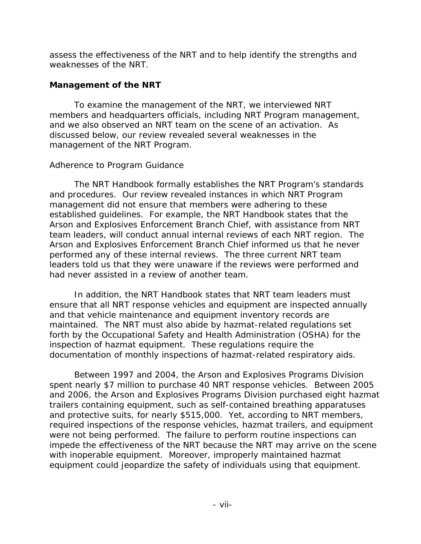assess the effectiveness of the NRT and to help identify the strengths and weaknesses of the NRT.

### **Management of the NRT**

To examine the management of the NRT, we interviewed NRT members and headquarters officials, including NRT Program management, and we also observed an NRT team on the scene of an activation. As discussed below, our review revealed several weaknesses in the management of the NRT Program.

## *Adherence to Program Guidance*

The NRT Handbook formally establishes the NRT Program's standards and procedures. Our review revealed instances in which NRT Program management did not ensure that members were adhering to these established guidelines. For example, the NRT Handbook states that the Arson and Explosives Enforcement Branch Chief, with assistance from NRT team leaders, will conduct annual internal reviews of each NRT region. The Arson and Explosives Enforcement Branch Chief informed us that he never performed any of these internal reviews. The three current NRT team leaders told us that they were unaware if the reviews were performed and had never assisted in a review of another team.

In addition, the NRT Handbook states that NRT team leaders must ensure that all NRT response vehicles and equipment are inspected annually and that vehicle maintenance and equipment inventory records are maintained. The NRT must also abide by hazmat-related regulations set forth by the Occupational Safety and Health Administration (OSHA) for the inspection of hazmat equipment. These regulations require the documentation of monthly inspections of hazmat-related respiratory aids.

Between 1997 and 2004, the Arson and Explosives Programs Division spent nearly \$7 million to purchase 40 NRT response vehicles. Between 2005 and 2006, the Arson and Explosives Programs Division purchased eight hazmat trailers containing equipment, such as self-contained breathing apparatuses and protective suits, for nearly \$515,000. Yet, according to NRT members, required inspections of the response vehicles, hazmat trailers, and equipment were not being performed. The failure to perform routine inspections can impede the effectiveness of the NRT because the NRT may arrive on the scene with inoperable equipment. Moreover, improperly maintained hazmat equipment could jeopardize the safety of individuals using that equipment.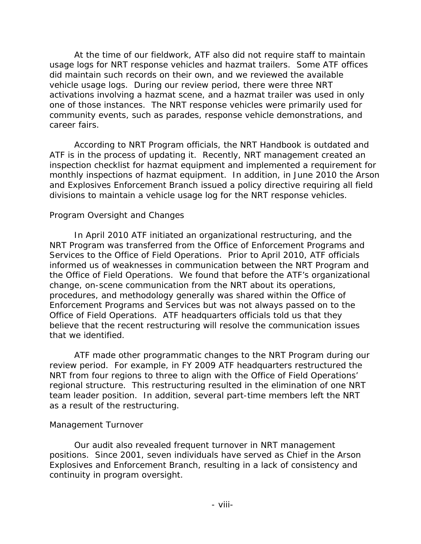At the time of our fieldwork, ATF also did not require staff to maintain usage logs for NRT response vehicles and hazmat trailers. Some ATF offices did maintain such records on their own, and we reviewed the available vehicle usage logs. During our review period, there were three NRT activations involving a hazmat scene, and a hazmat trailer was used in only one of those instances. The NRT response vehicles were primarily used for community events, such as parades, response vehicle demonstrations, and career fairs.

According to NRT Program officials, the NRT Handbook is outdated and ATF is in the process of updating it. Recently, NRT management created an inspection checklist for hazmat equipment and implemented a requirement for monthly inspections of hazmat equipment. In addition, in June 2010 the Arson and Explosives Enforcement Branch issued a policy directive requiring all field divisions to maintain a vehicle usage log for the NRT response vehicles.

#### *Program Oversight and Changes*

In April 2010 ATF initiated an organizational restructuring, and the NRT Program was transferred from the Office of Enforcement Programs and Services to the Office of Field Operations. Prior to April 2010, ATF officials informed us of weaknesses in communication between the NRT Program and the Office of Field Operations. We found that before the ATF's organizational change, on-scene communication from the NRT about its operations, procedures, and methodology generally was shared within the Office of Enforcement Programs and Services but was not always passed on to the Office of Field Operations. ATF headquarters officials told us that they believe that the recent restructuring will resolve the communication issues that we identified.

ATF made other programmatic changes to the NRT Program during our review period. For example, in FY 2009 ATF headquarters restructured the NRT from four regions to three to align with the Office of Field Operations' regional structure. This restructuring resulted in the elimination of one NRT team leader position. In addition, several part-time members left the NRT as a result of the restructuring.

#### *Management Turnover*

Our audit also revealed frequent turnover in NRT management positions. Since 2001, seven individuals have served as Chief in the Arson Explosives and Enforcement Branch, resulting in a lack of consistency and continuity in program oversight.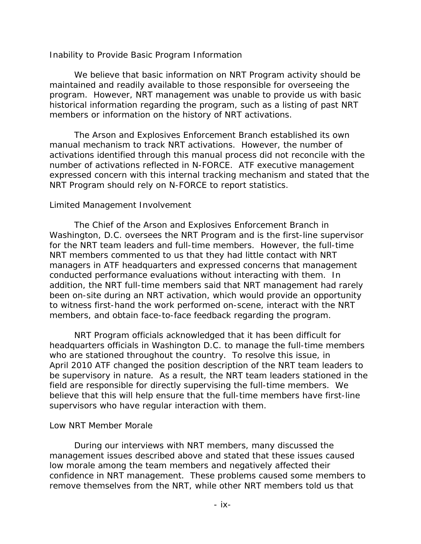#### *Inability to Provide Basic Program Information*

We believe that basic information on NRT Program activity should be maintained and readily available to those responsible for overseeing the program. However, NRT management was unable to provide us with basic historical information regarding the program, such as a listing of past NRT members or information on the history of NRT activations.

The Arson and Explosives Enforcement Branch established its own manual mechanism to track NRT activations. However, the number of activations identified through this manual process did not reconcile with the number of activations reflected in N-FORCE. ATF executive management expressed concern with this internal tracking mechanism and stated that the NRT Program should rely on N-FORCE to report statistics.

#### *Limited Management Involvement*

The Chief of the Arson and Explosives Enforcement Branch in Washington, D.C. oversees the NRT Program and is the first-line supervisor for the NRT team leaders and full-time members. However, the full-time NRT members commented to us that they had little contact with NRT managers in ATF headquarters and expressed concerns that management conducted performance evaluations without interacting with them. In addition, the NRT full-time members said that NRT management had rarely been on-site during an NRT activation, which would provide an opportunity to witness first-hand the work performed on-scene, interact with the NRT members, and obtain face-to-face feedback regarding the program.

NRT Program officials acknowledged that it has been difficult for headquarters officials in Washington D.C. to manage the full-time members who are stationed throughout the country. To resolve this issue, in April 2010 ATF changed the position description of the NRT team leaders to be supervisory in nature. As a result, the NRT team leaders stationed in the field are responsible for directly supervising the full-time members. We believe that this will help ensure that the full-time members have first-line supervisors who have regular interaction with them.

#### *Low NRT Member Morale*

During our interviews with NRT members, many discussed the management issues described above and stated that these issues caused low morale among the team members and negatively affected their confidence in NRT management. These problems caused some members to remove themselves from the NRT, while other NRT members told us that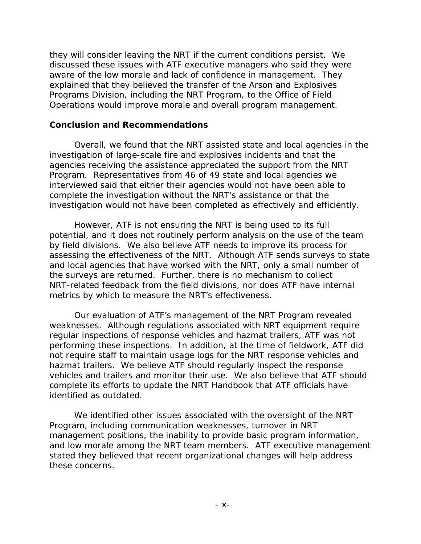they will consider leaving the NRT if the current conditions persist. We discussed these issues with ATF executive managers who said they were aware of the low morale and lack of confidence in management. They explained that they believed the transfer of the Arson and Explosives Programs Division, including the NRT Program, to the Office of Field Operations would improve morale and overall program management.

#### **Conclusion and Recommendations**

Overall, we found that the NRT assisted state and local agencies in the investigation of large-scale fire and explosives incidents and that the agencies receiving the assistance appreciated the support from the NRT Program. Representatives from 46 of 49 state and local agencies we interviewed said that either their agencies would not have been able to complete the investigation without the NRT's assistance or that the investigation would not have been completed as effectively and efficiently.

However, ATF is not ensuring the NRT is being used to its full potential, and it does not routinely perform analysis on the use of the team by field divisions. We also believe ATF needs to improve its process for assessing the effectiveness of the NRT. Although ATF sends surveys to state and local agencies that have worked with the NRT, only a small number of the surveys are returned. Further, there is no mechanism to collect NRT-related feedback from the field divisions, nor does ATF have internal metrics by which to measure the NRT's effectiveness.

Our evaluation of ATF's management of the NRT Program revealed weaknesses. Although regulations associated with NRT equipment require regular inspections of response vehicles and hazmat trailers, ATF was not performing these inspections. In addition, at the time of fieldwork, ATF did not require staff to maintain usage logs for the NRT response vehicles and hazmat trailers. We believe ATF should regularly inspect the response vehicles and trailers and monitor their use. We also believe that ATF should complete its efforts to update the NRT Handbook that ATF officials have identified as outdated.

We identified other issues associated with the oversight of the NRT Program, including communication weaknesses, turnover in NRT management positions, the inability to provide basic program information, and low morale among the NRT team members. ATF executive management stated they believed that recent organizational changes will help address these concerns.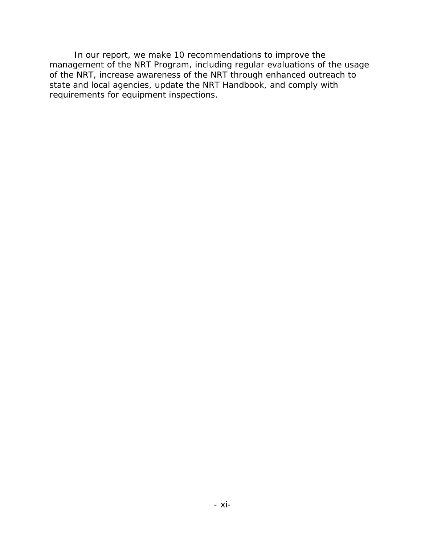In our report, we make 10 recommendations to improve the management of the NRT Program, including regular evaluations of the usage of the NRT, increase awareness of the NRT through enhanced outreach to state and local agencies, update the NRT Handbook, and comply with requirements for equipment inspections.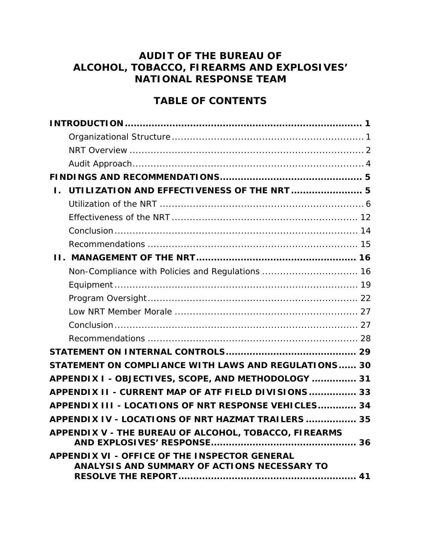# **AUDIT OF THE BUREAU OF ALCOHOL, TOBACCO, FIREARMS AND EXPLOSIVES' NATIONAL RESPONSE TEAM**

# **TABLE OF CONTENTS**

| L.                                                                                            |  |
|-----------------------------------------------------------------------------------------------|--|
|                                                                                               |  |
|                                                                                               |  |
|                                                                                               |  |
|                                                                                               |  |
|                                                                                               |  |
| Non-Compliance with Policies and Regulations  16                                              |  |
|                                                                                               |  |
|                                                                                               |  |
|                                                                                               |  |
|                                                                                               |  |
|                                                                                               |  |
|                                                                                               |  |
| STATEMENT ON COMPLIANCE WITH LAWS AND REGULATIONS 30                                          |  |
| APPENDIX I - OBJECTIVES, SCOPE, AND METHODOLOGY  31                                           |  |
| APPENDIX II - CURRENT MAP OF ATF FIELD DIVISIONS 33                                           |  |
| APPENDIX III - LOCATIONS OF NRT RESPONSE VEHICLES 34                                          |  |
| APPENDIX IV - LOCATIONS OF NRT HAZMAT TRAILERS  35                                            |  |
| APPENDIX V - THE BUREAU OF ALCOHOL, TOBACCO, FIREARMS                                         |  |
| APPENDIX VI - OFFICE OF THE INSPECTOR GENERAL<br>ANALYSIS AND SUMMARY OF ACTIONS NECESSARY TO |  |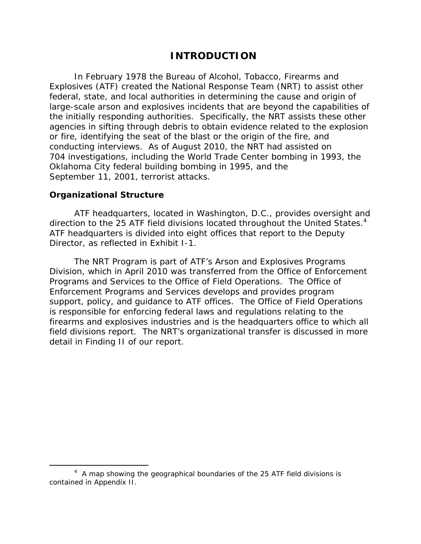# **INTRODUCTION**

In February 1978 the Bureau of Alcohol, Tobacco, Firearms and Explosives (ATF) created the National Response Team (NRT) to assist other federal, state, and local authorities in determining the cause and origin of large-scale arson and explosives incidents that are beyond the capabilities of the initially responding authorities. Specifically, the NRT assists these other agencies in sifting through debris to obtain evidence related to the explosion or fire, identifying the seat of the blast or the origin of the fire, and conducting interviews. As of August 2010, the NRT had assisted on 704 investigations, including the World Trade Center bombing in 1993, the Oklahoma City federal building bombing in 1995, and the September 11, 2001, terrorist attacks.

#### **Organizational Structure**

 $\overline{a}$ 

direction to the 25 ATF field divisions located throughout the United States.<sup>4</sup> ATF headquarters, located in Washington, D.C., provides oversight and ATF headquarters is divided into eight offices that report to the Deputy Director, as reflected in Exhibit I-1.

The NRT Program is part of ATF's Arson and Explosives Programs Division, which in April 2010 was transferred from the Office of Enforcement Programs and Services to the Office of Field Operations. The Office of Enforcement Programs and Services develops and provides program support, policy, and guidance to ATF offices. The Office of Field Operations is responsible for enforcing federal laws and regulations relating to the firearms and explosives industries and is the headquarters office to which all field divisions report. The NRT's organizational transfer is discussed in more detail in Finding II of our report.

<sup>&</sup>lt;sup>4</sup> A map showing the geographical boundaries of the 25 ATF field divisions is contained in Appendix II.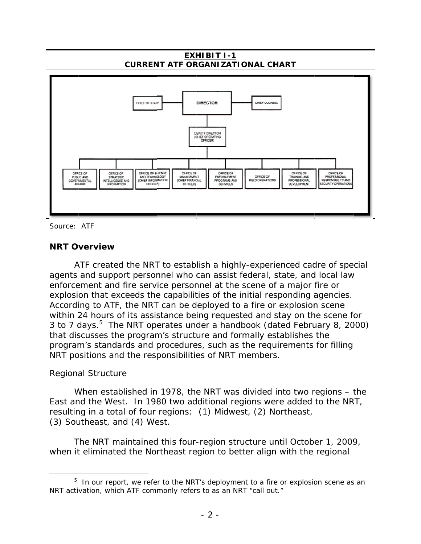**EXHIBIT I-1 CURRENT ATF ORGANIZATIONAL CHART**



Source: ATF

#### **NRT Overview**

ATF created the NRT to establish a highly-experienced cadre of special agents and support personnel who can assist federal, state, and local law enforcement and fire service personnel at the scene of a major fire or explosion that exceeds the capabilities of the initial responding agencies. According to ATF, the NRT can be deployed to a fire or explosion scene within 24 hours of its assistance being requested and stay on the scene for 3 to 7 days.<sup>5</sup> The NRT operates under a handbook (dated February 8, 2000) that discusses the program's structure and formally establishes the program's standards and procedures, such as the requirements for filling NRT positions and the responsibilities of NRT members.

#### *Regional Structure*

 $\overline{a}$ 

When established in 1978, the NRT was divided into two regions  $-$  the East and the West. In 1980 two additional regions were added to the NRT, resulting in a total of four regions: (1) Midwest, (2) Northeast, (3) Southeast, and (4) West.

The NRT maintained this four-region structure until October 1, 2009, when it eliminated the Northeast region to better align with the regional

 $5$  In our report, we refer to the NRT's deployment to a fire or explosion scene as an NRT activation, which ATF commonly refers to as an NRT "call out."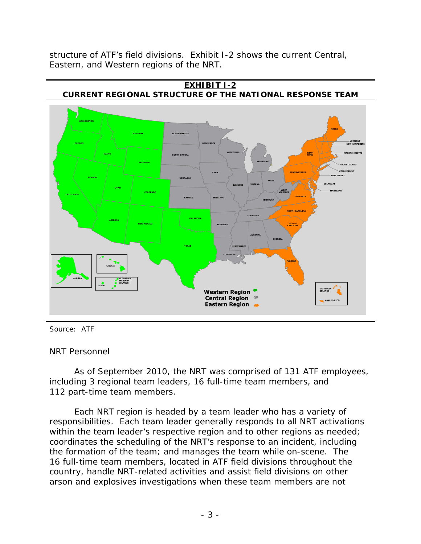structure of ATF's field divisions. Exhibit I-2 shows the current Central, Eastern, and Western regions of the NRT.



Source: ATF

*NRT Personnel* 

As of September 2010, the NRT was comprised of 131 ATF employees, including 3 regional team leaders, 16 full-time team members, and 112 part-time team members.

Each NRT region is headed by a team leader who has a variety of responsibilities. Each team leader generally responds to all NRT activations within the team leader's respective region and to other regions as needed; coordinates the scheduling of the NRT's response to an incident, including the formation of the team; and manages the team while on-scene. The 16 full-time team members, located in ATF field divisions throughout the country, handle NRT-related activities and assist field divisions on other arson and explosives investigations when these team members are not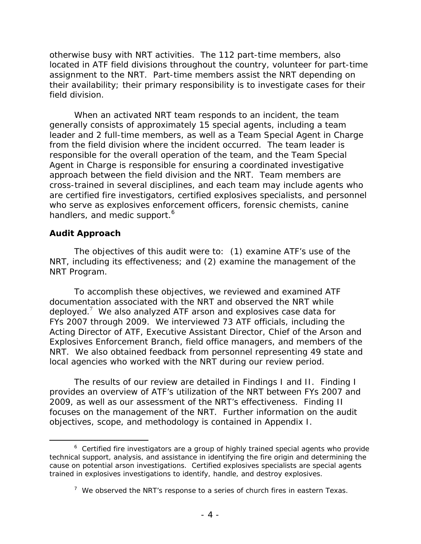otherwise busy with NRT activities. The 112 part-time members, also located in ATF field divisions throughout the country, volunteer for part-time assignment to the NRT. Part-time members assist the NRT depending on their availability; their primary responsibility is to investigate cases for their field division.

When an activated NRT team responds to an incident, the team generally consists of approximately 15 special agents, including a team leader and 2 full-time members, as well as a Team Special Agent in Charge from the field division where the incident occurred. The team leader is responsible for the overall operation of the team, and the Team Special Agent in Charge is responsible for ensuring a coordinated investigative approach between the field division and the NRT. Team members are cross-trained in several disciplines, and each team may include agents who are certified fire investigators, certified explosives specialists, and personnel who serve as explosives enforcement officers, forensic chemists, canine handlers, and medic support.<sup>6</sup>

#### **Audit Approach**

-

The objectives of this audit were to: (1) examine ATF's use of the NRT, including its effectiveness; and (2) examine the management of the NRT Program.

To accomplish these objectives, we reviewed and examined ATF documentation associated with the NRT and observed the NRT while deployed.<sup>7</sup> We also analyzed ATF arson and explosives case data for FYs 2007 through 2009. We interviewed 73 ATF officials, including the Acting Director of ATF, Executive Assistant Director, Chief of the Arson and Explosives Enforcement Branch, field office managers, and members of the NRT. We also obtained feedback from personnel representing 49 state and local agencies who worked with the NRT during our review period.

The results of our review are detailed in Findings I and II. Finding I provides an overview of ATF's utilization of the NRT between FYs 2007 and 2009, as well as our assessment of the NRT's effectiveness. Finding II focuses on the management of the NRT. Further information on the audit objectives, scope, and methodology is contained in Appendix I.

 cause on potential arson investigations. Certified explosives specialists are special agents <sup>6</sup> Certified fire investigators are a group of highly trained special agents who provide technical support, analysis, and assistance in identifying the fire origin and determining the trained in explosives investigations to identify, handle, and destroy explosives.

 $7$  We observed the NRT's response to a series of church fires in eastern Texas.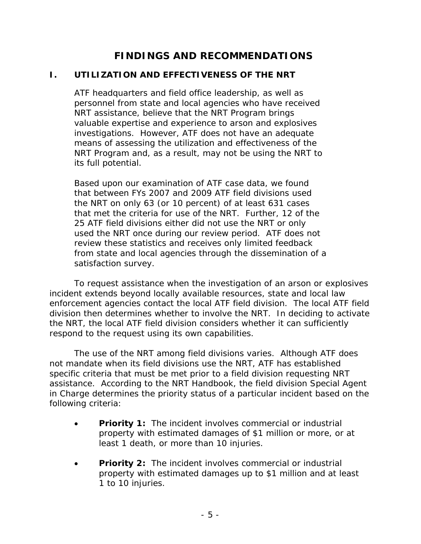# **FINDINGS AND RECOMMENDATIONS**

## **I. UTILIZATION AND EFFECTIVENESS OF THE NRT**

ATF headquarters and field office leadership, as well as personnel from state and local agencies who have received NRT assistance, believe that the NRT Program brings valuable expertise and experience to arson and explosives investigations. However, ATF does not have an adequate means of assessing the utilization and effectiveness of the NRT Program and, as a result, may not be using the NRT to its full potential.

Based upon our examination of ATF case data, we found that between FYs 2007 and 2009 ATF field divisions used the NRT on only 63 (or 10 percent) of at least 631 cases that met the criteria for use of the NRT. Further, 12 of the 25 ATF field divisions either did not use the NRT or only used the NRT once during our review period. ATF does not review these statistics and receives only limited feedback from state and local agencies through the dissemination of a satisfaction survey.

To request assistance when the investigation of an arson or explosives incident extends beyond locally available resources, state and local law enforcement agencies contact the local ATF field division. The local ATF field division then determines whether to involve the NRT. In deciding to activate the NRT, the local ATF field division considers whether it can sufficiently respond to the request using its own capabilities.

The use of the NRT among field divisions varies. Although ATF does not mandate when its field divisions use the NRT, ATF has established specific criteria that must be met prior to a field division requesting NRT assistance. According to the NRT Handbook, the field division Special Agent in Charge determines the priority status of a particular incident based on the following criteria:

- **Priority 1:** The incident involves commercial or industrial property with estimated damages of \$1 million or more, or at least 1 death, or more than 10 injuries.
- **Priority 2:** The incident involves commercial or industrial property with estimated damages up to \$1 million and at least 1 to 10 injuries.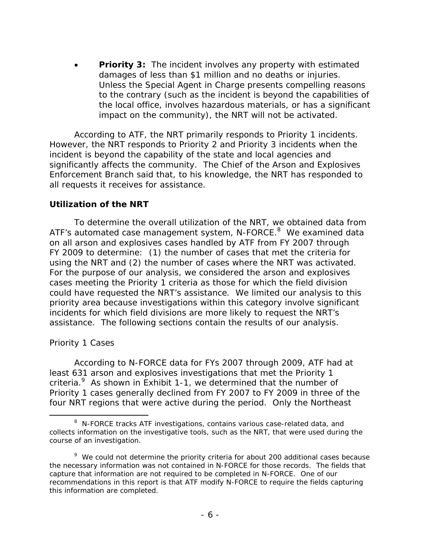**Priority 3:** The incident involves any property with estimated damages of less than \$1 million and no deaths or injuries. Unless the Special Agent in Charge presents compelling reasons to the contrary (such as the incident is beyond the capabilities of the local office, involves hazardous materials, or has a significant impact on the community), the NRT will not be activated.

According to ATF, the NRT primarily responds to Priority 1 incidents. However, the NRT responds to Priority 2 and Priority 3 incidents when the incident is beyond the capability of the state and local agencies and significantly affects the community. The Chief of the Arson and Explosives Enforcement Branch said that, to his knowledge, the NRT has responded to all requests it receives for assistance.

#### **Utilization of the NRT**

To determine the overall utilization of the NRT, we obtained data from ATF's automated case management system, N-FORCE.<sup>8</sup> We examined data on all arson and explosives cases handled by ATF from FY 2007 through FY 2009 to determine: (1) the number of cases that met the criteria for using the NRT and (2) the number of cases where the NRT was activated. For the purpose of our analysis, we considered the arson and explosives cases meeting the Priority 1 criteria as those for which the field division could have requested the NRT's assistance. We limited our analysis to this priority area because investigations within this category involve significant incidents for which field divisions are more likely to request the NRT's assistance. The following sections contain the results of our analysis.

#### *Priority 1 Cases*

 $\overline{a}$ 

According to N-FORCE data for FYs 2007 through 2009, ATF had at least 631 arson and explosives investigations that met the Priority 1 criteria.<sup>9</sup> As shown in Exhibit 1-1, we determined that the number of Priority 1 cases generally declined from FY 2007 to FY 2009 in three of the four NRT regions that were active during the period. Only the Northeast

<sup>&</sup>lt;sup>8</sup> N-FORCE tracks ATF investigations, contains various case-related data, and collects information on the investigative tools, such as the NRT, that were used during the course of an investigation.

<sup>&</sup>lt;sup>9</sup> We could not determine the priority criteria for about 200 additional cases because the necessary information was not contained in N-FORCE for those records. The fields that capture that information are not required to be completed in N-FORCE. One of our recommendations in this report is that ATF modify N-FORCE to require the fields capturing this information are completed.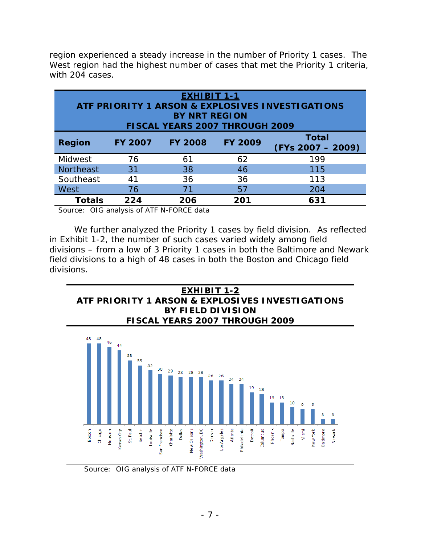region experienced a steady increase in the number of Priority 1 cases. The West region had the highest number of cases that met the Priority 1 criteria, with 204 cases.

| <b>EXHIBIT 1-1</b><br>ATF PRIORITY 1 ARSON & EXPLOSIVES INVESTIGATIONS |                |                |                |                                     |  |  |
|------------------------------------------------------------------------|----------------|----------------|----------------|-------------------------------------|--|--|
| <b>BY NRT REGION</b><br>FISCAL YEARS 2007 THROUGH 2009                 |                |                |                |                                     |  |  |
| <b>Region</b>                                                          | <b>FY 2007</b> | <b>FY 2008</b> | <b>FY 2009</b> | <b>Total</b><br>$(FYs 2007 - 2009)$ |  |  |
| Midwest                                                                | 76             | 61             | 62             | 199                                 |  |  |
| <b>Northeast</b>                                                       | 31             | 38             | 46             | 115                                 |  |  |
| Southeast                                                              | 41             | 36             | 36             | 113                                 |  |  |
| <b>West</b>                                                            | 76             |                | 57             | 204                                 |  |  |
| <b>Totals</b>                                                          | 224            | 206            | 201            | 631                                 |  |  |

Source: OIG analysis of ATF N-FORCE data

We further analyzed the Priority 1 cases by field division. As reflected in Exhibit 1-2, the number of such cases varied widely among field divisions – from a low of 3 Priority 1 cases in both the Baltimore and Newark field divisions to a high of 48 cases in both the Boston and Chicago field divisions.





Source: OIG analysis of ATF N-FORCE data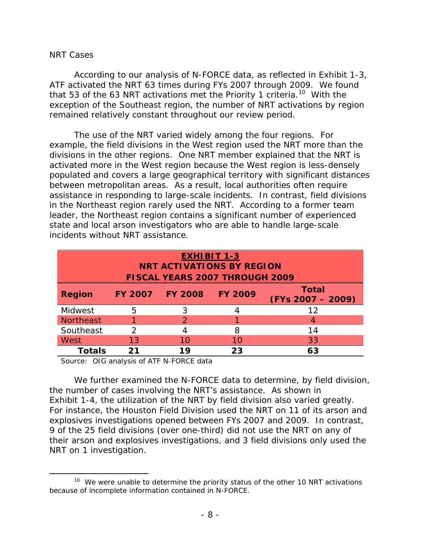#### *NRT Cases*

 $\overline{a}$ 

According to our analysis of N-FORCE data, as reflected in Exhibit 1-3, ATF activated the NRT 63 times during FYs 2007 through 2009. We found that 53 of the 63 NRT activations met the Priority 1 criteria.<sup>10</sup> With the exception of the Southeast region, the number of NRT activations by region remained relatively constant throughout our review period.

The use of the NRT varied widely among the four regions. For example, the field divisions in the West region used the NRT more than the divisions in the other regions. One NRT member explained that the NRT is activated more in the West region because the West region is less-densely populated and covers a large geographical territory with significant distances between metropolitan areas. As a result, local authorities often require assistance in responding to large-scale incidents. In contrast, field divisions in the Northeast region rarely used the NRT. According to a former team leader, the Northeast region contains a significant number of experienced state and local arson investigators who are able to handle large-scale incidents without NRT assistance.

| <b>EXHIBIT 1-3</b><br><b>NRT ACTIVATIONS BY REGION</b> |                |                |                |                                     |  |  |  |
|--------------------------------------------------------|----------------|----------------|----------------|-------------------------------------|--|--|--|
| <b>FISCAL YEARS 2007 THROUGH 2009</b>                  |                |                |                |                                     |  |  |  |
| <b>Region</b>                                          | <b>FY 2007</b> | <b>FY 2008</b> | <b>FY 2009</b> | <b>Total</b><br>$(FYs 2007 - 2009)$ |  |  |  |
| Midwest                                                | 5              | 3              |                | 12                                  |  |  |  |
| <b>Northeast</b>                                       |                |                |                | 4                                   |  |  |  |
| Southeast                                              |                |                | 8              | 14                                  |  |  |  |
| West                                                   | 13             | 10             | 10             | 33                                  |  |  |  |
| Totals                                                 | 21             | 1 Q            | 23             | 63                                  |  |  |  |

Source: OIG analysis of ATF N-FORCE data

We further examined the N-FORCE data to determine, by field division, the number of cases involving the NRT's assistance. As shown in Exhibit 1-4, the utilization of the NRT by field division also varied greatly. For instance, the Houston Field Division used the NRT on 11 of its arson and explosives investigations opened between FYs 2007 and 2009. In contrast, 9 of the 25 field divisions (over one-third) did not use the NRT on any of their arson and explosives investigations, and 3 field divisions only used the NRT on 1 investigation.

 $10$  We were unable to determine the priority status of the other 10 NRT activations because of incomplete information contained in N-FORCE.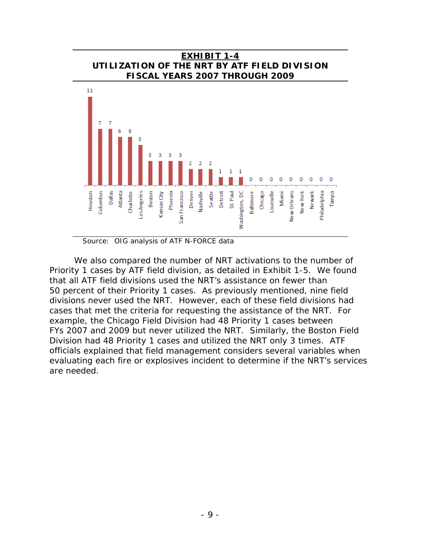

**EXHIBIT 1-4**

Source: OIG analysis of ATF N-FORCE data

We also compared the number of NRT activations to the number of Priority 1 cases by ATF field division, as detailed in Exhibit 1-5. We found that all ATF field divisions used the NRT's assistance on fewer than 50 percent of their Priority 1 cases. As previously mentioned, nine field divisions never used the NRT. However, each of these field divisions had cases that met the criteria for requesting the assistance of the NRT. For example, the Chicago Field Division had 48 Priority 1 cases between FYs 2007 and 2009 but never utilized the NRT. Similarly, the Boston Field Division had 48 Priority 1 cases and utilized the NRT only 3 times. ATF officials explained that field management considers several variables when evaluating each fire or explosives incident to determine if the NRT's services are needed.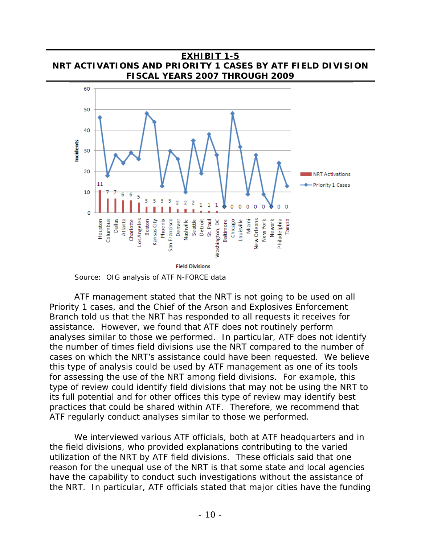

ATF management stated that the NRT is not going to be used on all Priority 1 cases, and the Chief of the Arson and Explosives Enforcement Branch told us that the NRT has responded to all requests it receives for assistance. However, we found that ATF does not routinely perform analyses similar to those we performed. In particular, ATF does not identify the number of times field divisions use the NRT compared to the number of cases on which the NRT's assistance could have been requested. We believe this type of analysis could be used by ATF management as one of its tools for assessing the use of the NRT among field divisions. For example, this type of review could identify field divisions that may not be using the NRT to its full potential and for other offices this type of review may identify best practices that could be shared within ATF. Therefore, we recommend that ATF regularly conduct analyses similar to those we performed.

We interviewed various ATF officials, both at ATF headquarters and in the field divisions, who provided explanations contributing to the varied utilization of the NRT by ATF field divisions. These officials said that one reason for the unequal use of the NRT is that some state and local agencies have the capability to conduct such investigations without the assistance of the NRT. In particular, ATF officials stated that major cities have the funding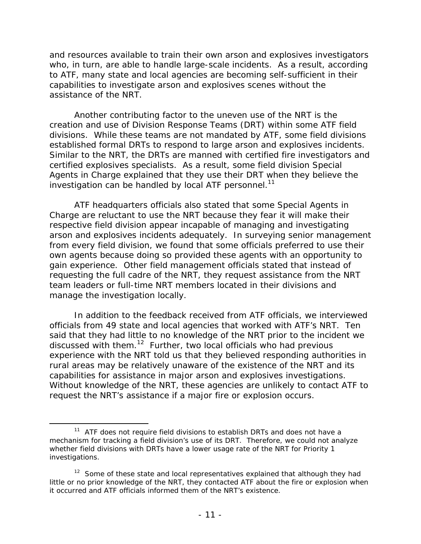and resources available to train their own arson and explosives investigators who, in turn, are able to handle large-scale incidents. As a result, according to ATF, many state and local agencies are becoming self-sufficient in their capabilities to investigate arson and explosives scenes without the assistance of the NRT.

investigation can be handled by local ATF personnel.<sup>11</sup> Another contributing factor to the uneven use of the NRT is the creation and use of Division Response Teams (DRT) within some ATF field divisions. While these teams are not mandated by ATF, some field divisions established formal DRTs to respond to large arson and explosives incidents. Similar to the NRT, the DRTs are manned with certified fire investigators and certified explosives specialists. As a result, some field division Special Agents in Charge explained that they use their DRT when they believe the

ATF headquarters officials also stated that some Special Agents in Charge are reluctant to use the NRT because they fear it will make their respective field division appear incapable of managing and investigating arson and explosives incidents adequately. In surveying senior management from every field division, we found that some officials preferred to use their own agents because doing so provided these agents with an opportunity to gain experience. Other field management officials stated that instead of requesting the full cadre of the NRT, they request assistance from the NRT team leaders or full-time NRT members located in their divisions and manage the investigation locally.

In addition to the feedback received from ATF officials, we interviewed officials from 49 state and local agencies that worked with ATF's NRT. Ten said that they had little to no knowledge of the NRT prior to the incident we discussed with them.<sup>12</sup> Further, two local officials who had previous experience with the NRT told us that they believed responding authorities in rural areas may be relatively unaware of the existence of the NRT and its capabilities for assistance in major arson and explosives investigations. Without knowledge of the NRT, these agencies are unlikely to contact ATF to request the NRT's assistance if a major fire or explosion occurs.

 $\overline{a}$ 

 mechanism for tracking a field division's use of its DRT. Therefore, we could not analyze  $11$  ATF does not require field divisions to establish DRTs and does not have a whether field divisions with DRTs have a lower usage rate of the NRT for Priority 1 investigations.

 $12$  Some of these state and local representatives explained that although they had little or no prior knowledge of the NRT, they contacted ATF about the fire or explosion when it occurred and ATF officials informed them of the NRT's existence.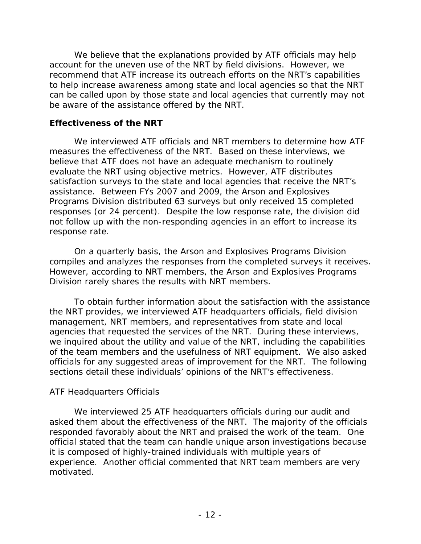We believe that the explanations provided by ATF officials may help account for the uneven use of the NRT by field divisions. However, we recommend that ATF increase its outreach efforts on the NRT's capabilities to help increase awareness among state and local agencies so that the NRT can be called upon by those state and local agencies that currently may not be aware of the assistance offered by the NRT.

#### **Effectiveness of the NRT**

We interviewed ATF officials and NRT members to determine how ATF measures the effectiveness of the NRT. Based on these interviews, we believe that ATF does not have an adequate mechanism to routinely evaluate the NRT using objective metrics. However, ATF distributes satisfaction surveys to the state and local agencies that receive the NRT's assistance. Between FYs 2007 and 2009, the Arson and Explosives Programs Division distributed 63 surveys but only received 15 completed responses (or 24 percent). Despite the low response rate, the division did not follow up with the non-responding agencies in an effort to increase its response rate.

On a quarterly basis, the Arson and Explosives Programs Division compiles and analyzes the responses from the completed surveys it receives. However, according to NRT members, the Arson and Explosives Programs Division rarely shares the results with NRT members.

To obtain further information about the satisfaction with the assistance the NRT provides, we interviewed ATF headquarters officials, field division management, NRT members, and representatives from state and local agencies that requested the services of the NRT. During these interviews, we inquired about the utility and value of the NRT, including the capabilities of the team members and the usefulness of NRT equipment. We also asked officials for any suggested areas of improvement for the NRT. The following sections detail these individuals' opinions of the NRT's effectiveness.

#### *ATF Headquarters Officials*

We interviewed 25 ATF headquarters officials during our audit and asked them about the effectiveness of the NRT. The majority of the officials responded favorably about the NRT and praised the work of the team. One official stated that the team can handle unique arson investigations because it is composed of highly-trained individuals with multiple years of experience. Another official commented that NRT team members are very motivated.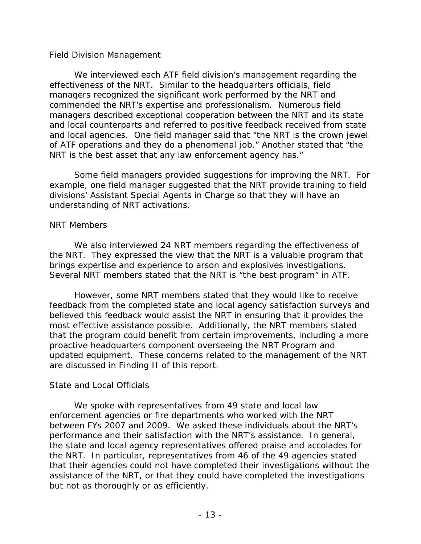#### *Field Division Management*

We interviewed each ATF field division's management regarding the effectiveness of the NRT. Similar to the headquarters officials, field managers recognized the significant work performed by the NRT and commended the NRT's expertise and professionalism. Numerous field managers described exceptional cooperation between the NRT and its state and local counterparts and referred to positive feedback received from state and local agencies. One field manager said that "the NRT is the crown jewel of ATF operations and they do a phenomenal job." Another stated that "the NRT is the best asset that any law enforcement agency has."

Some field managers provided suggestions for improving the NRT. For example, one field manager suggested that the NRT provide training to field divisions' Assistant Special Agents in Charge so that they will have an understanding of NRT activations.

#### *NRT Members*

We also interviewed 24 NRT members regarding the effectiveness of the NRT. They expressed the view that the NRT is a valuable program that brings expertise and experience to arson and explosives investigations. Several NRT members stated that the NRT is "the best program" in ATF.

However, some NRT members stated that they would like to receive feedback from the completed state and local agency satisfaction surveys and believed this feedback would assist the NRT in ensuring that it provides the most effective assistance possible. Additionally, the NRT members stated that the program could benefit from certain improvements, including a more proactive headquarters component overseeing the NRT Program and updated equipment. These concerns related to the management of the NRT are discussed in Finding II of this report.

#### *State and Local Officials*

We spoke with representatives from 49 state and local law enforcement agencies or fire departments who worked with the NRT between FYs 2007 and 2009. We asked these individuals about the NRT's performance and their satisfaction with the NRT's assistance. In general, the state and local agency representatives offered praise and accolades for the NRT. In particular, representatives from 46 of the 49 agencies stated that their agencies could not have completed their investigations without the assistance of the NRT, or that they could have completed the investigations but not as thoroughly or as efficiently.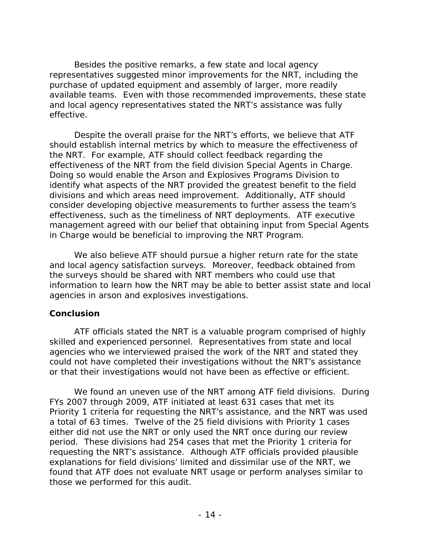Besides the positive remarks, a few state and local agency representatives suggested minor improvements for the NRT, including the purchase of updated equipment and assembly of larger, more readily available teams. Even with those recommended improvements, these state and local agency representatives stated the NRT's assistance was fully effective.

Despite the overall praise for the NRT's efforts, we believe that ATF should establish internal metrics by which to measure the effectiveness of the NRT. For example, ATF should collect feedback regarding the effectiveness of the NRT from the field division Special Agents in Charge. Doing so would enable the Arson and Explosives Programs Division to identify what aspects of the NRT provided the greatest benefit to the field divisions and which areas need improvement. Additionally, ATF should consider developing objective measurements to further assess the team's effectiveness, such as the timeliness of NRT deployments. ATF executive management agreed with our belief that obtaining input from Special Agents in Charge would be beneficial to improving the NRT Program.

We also believe ATF should pursue a higher return rate for the state and local agency satisfaction surveys. Moreover, feedback obtained from the surveys should be shared with NRT members who could use that information to learn how the NRT may be able to better assist state and local agencies in arson and explosives investigations.

#### **Conclusion**

ATF officials stated the NRT is a valuable program comprised of highly skilled and experienced personnel. Representatives from state and local agencies who we interviewed praised the work of the NRT and stated they could not have completed their investigations without the NRT's assistance or that their investigations would not have been as effective or efficient.

We found an uneven use of the NRT among ATF field divisions. During FYs 2007 through 2009, ATF initiated at least 631 cases that met its Priority 1 criteria for requesting the NRT's assistance, and the NRT was used a total of 63 times. Twelve of the 25 field divisions with Priority 1 cases either did not use the NRT or only used the NRT once during our review period. These divisions had 254 cases that met the Priority 1 criteria for requesting the NRT's assistance. Although ATF officials provided plausible explanations for field divisions' limited and dissimilar use of the NRT, we found that ATF does not evaluate NRT usage or perform analyses similar to those we performed for this audit.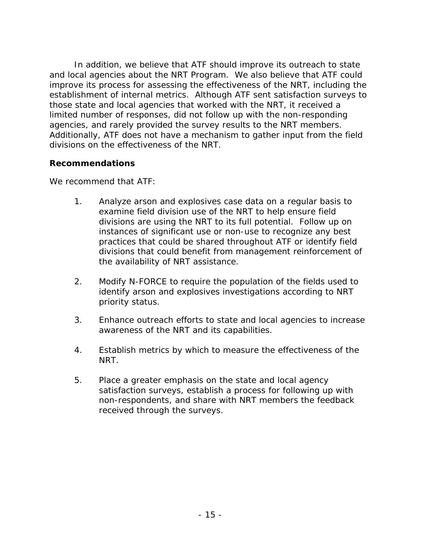In addition, we believe that ATF should improve its outreach to state and local agencies about the NRT Program. We also believe that ATF could improve its process for assessing the effectiveness of the NRT, including the establishment of internal metrics. Although ATF sent satisfaction surveys to those state and local agencies that worked with the NRT, it received a limited number of responses, did not follow up with the non-responding agencies, and rarely provided the survey results to the NRT members. Additionally, ATF does not have a mechanism to gather input from the field divisions on the effectiveness of the NRT.

#### **Recommendations**

We recommend that ATF:

- 1. Analyze arson and explosives case data on a regular basis to examine field division use of the NRT to help ensure field divisions are using the NRT to its full potential. Follow up on instances of significant use or non-use to recognize any best practices that could be shared throughout ATF or identify field divisions that could benefit from management reinforcement of the availability of NRT assistance.
- 2. Modify N-FORCE to require the population of the fields used to identify arson and explosives investigations according to NRT priority status.
- 3. Enhance outreach efforts to state and local agencies to increase awareness of the NRT and its capabilities.
- 4. Establish metrics by which to measure the effectiveness of the NRT.
- 5. Place a greater emphasis on the state and local agency satisfaction surveys, establish a process for following up with non-respondents, and share with NRT members the feedback received through the surveys.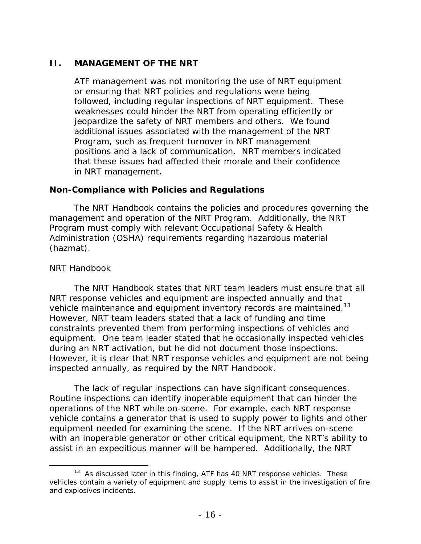#### **II. MANAGEMENT OF THE NRT**

ATF management was not monitoring the use of NRT equipment or ensuring that NRT policies and regulations were being followed, including regular inspections of NRT equipment. These weaknesses could hinder the NRT from operating efficiently or jeopardize the safety of NRT members and others. We found additional issues associated with the management of the NRT Program, such as frequent turnover in NRT management positions and a lack of communication. NRT members indicated that these issues had affected their morale and their confidence in NRT management.

#### **Non-Compliance with Policies and Regulations**

The NRT Handbook contains the policies and procedures governing the management and operation of the NRT Program. Additionally, the NRT Program must comply with relevant Occupational Safety & Health Administration (OSHA) requirements regarding hazardous material (hazmat).

#### *NRT Handbook*

 $\overline{a}$ 

vehicle maintenance and equipment inventory records are maintained.<sup>13</sup> The NRT Handbook states that NRT team leaders must ensure that all NRT response vehicles and equipment are inspected annually and that However, NRT team leaders stated that a lack of funding and time constraints prevented them from performing inspections of vehicles and equipment. One team leader stated that he occasionally inspected vehicles during an NRT activation, but he did not document those inspections. However, it is clear that NRT response vehicles and equipment are not being inspected annually, as required by the NRT Handbook.

The lack of regular inspections can have significant consequences. Routine inspections can identify inoperable equipment that can hinder the operations of the NRT while on-scene. For example, each NRT response vehicle contains a generator that is used to supply power to lights and other equipment needed for examining the scene. If the NRT arrives on-scene with an inoperable generator or other critical equipment, the NRT's ability to assist in an expeditious manner will be hampered. Additionally, the NRT

 $13$  As discussed later in this finding, ATF has 40 NRT response vehicles. These vehicles contain a variety of equipment and supply items to assist in the investigation of fire and explosives incidents.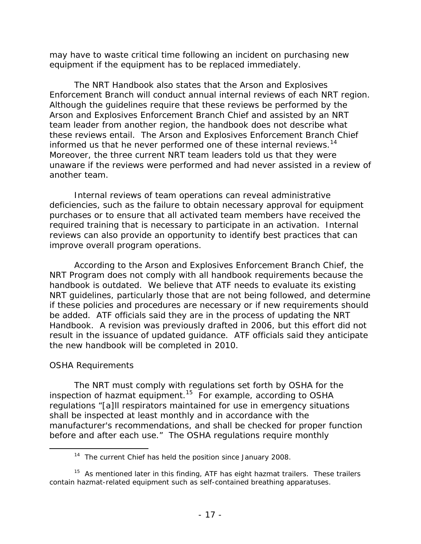may have to waste critical time following an incident on purchasing new equipment if the equipment has to be replaced immediately.

informed us that he never performed one of these internal reviews.<sup>14</sup> The NRT Handbook also states that the Arson and Explosives Enforcement Branch will conduct annual internal reviews of each NRT region. Although the guidelines require that these reviews be performed by the Arson and Explosives Enforcement Branch Chief and assisted by an NRT team leader from another region, the handbook does not describe what these reviews entail. The Arson and Explosives Enforcement Branch Chief Moreover, the three current NRT team leaders told us that they were unaware if the reviews were performed and had never assisted in a review of another team.

Internal reviews of team operations can reveal administrative deficiencies, such as the failure to obtain necessary approval for equipment purchases or to ensure that all activated team members have received the required training that is necessary to participate in an activation. Internal reviews can also provide an opportunity to identify best practices that can improve overall program operations.

According to the Arson and Explosives Enforcement Branch Chief, the NRT Program does not comply with all handbook requirements because the handbook is outdated. We believe that ATF needs to evaluate its existing NRT guidelines, particularly those that are not being followed, and determine if these policies and procedures are necessary or if new requirements should be added. ATF officials said they are in the process of updating the NRT Handbook. A revision was previously drafted in 2006, but this effort did not result in the issuance of updated guidance. ATF officials said they anticipate the new handbook will be completed in 2010.

#### *OSHA Requirements*

 $\overline{a}$ 

The NRT must comply with regulations set forth by OSHA for the inspection of hazmat equipment.<sup>15</sup> For example, according to OSHA regulations "[a]ll respirators maintained for use in emergency situations shall be inspected at least monthly and in accordance with the manufacturer's recommendations, and shall be checked for proper function before and after each use." The OSHA regulations require monthly

<sup>&</sup>lt;sup>14</sup> The current Chief has held the position since January 2008.

 $15$  As mentioned later in this finding, ATF has eight hazmat trailers. These trailers contain hazmat-related equipment such as self-contained breathing apparatuses.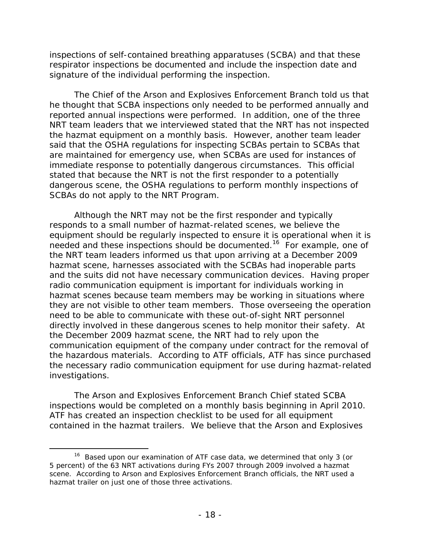inspections of self-contained breathing apparatuses (SCBA) and that these respirator inspections be documented and include the inspection date and signature of the individual performing the inspection.

The Chief of the Arson and Explosives Enforcement Branch told us that he thought that SCBA inspections only needed to be performed annually and reported annual inspections were performed. In addition, one of the three NRT team leaders that we interviewed stated that the NRT has not inspected the hazmat equipment on a monthly basis. However, another team leader said that the OSHA regulations for inspecting SCBAs pertain to SCBAs that are maintained for emergency use, when SCBAs are used for instances of immediate response to potentially dangerous circumstances. This official stated that because the NRT is not the first responder to a potentially dangerous scene, the OSHA regulations to perform monthly inspections of SCBAs do not apply to the NRT Program.

Although the NRT may not be the first responder and typically responds to a small number of hazmat-related scenes, we believe the equipment should be regularly inspected to ensure it is operational when it is needed and these inspections should be documented.16 For example, one of the NRT team leaders informed us that upon arriving at a December 2009 hazmat scene, harnesses associated with the SCBAs had inoperable parts and the suits did not have necessary communication devices. Having proper radio communication equipment is important for individuals working in hazmat scenes because team members may be working in situations where they are not visible to other team members. Those overseeing the operation need to be able to communicate with these out-of-sight NRT personnel directly involved in these dangerous scenes to help monitor their safety. At the December 2009 hazmat scene, the NRT had to rely upon the communication equipment of the company under contract for the removal of the hazardous materials. According to ATF officials, ATF has since purchased the necessary radio communication equipment for use during hazmat-related investigations.

The Arson and Explosives Enforcement Branch Chief stated SCBA inspections would be completed on a monthly basis beginning in April 2010. ATF has created an inspection checklist to be used for all equipment contained in the hazmat trailers. We believe that the Arson and Explosives

 $\overline{a}$ 

<sup>&</sup>lt;sup>16</sup> Based upon our examination of ATF case data, we determined that only 3 (or 5 percent) of the 63 NRT activations during FYs 2007 through 2009 involved a hazmat scene. According to Arson and Explosives Enforcement Branch officials, the NRT used a hazmat trailer on just one of those three activations.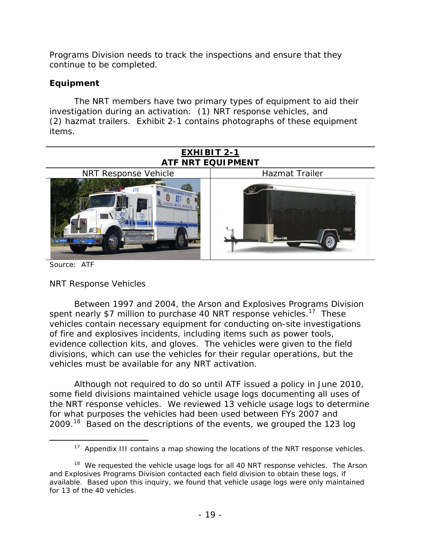Programs Division needs to track the inspections and ensure that they continue to be completed.

## **Equipment**

The NRT members have two primary types of equipment to aid their investigation during an activation: (1) NRT response vehicles, and (2) hazmat trailers. Exhibit 2-1 contains photographs of these equipment items.



Source: ATF

 $\overline{a}$ 

#### *NRT Response Vehicles*

Between 1997 and 2004, the Arson and Explosives Programs Division spent nearly \$7 million to purchase 40 NRT response vehicles.<sup>17</sup> These vehicles contain necessary equipment for conducting on-site investigations of fire and explosives incidents, including items such as power tools, evidence collection kits, and gloves. The vehicles were given to the field divisions, which can use the vehicles for their regular operations, but the vehicles must be available for any NRT activation.

Although not required to do so until ATF issued a policy in June 2010, some field divisions maintained vehicle usage logs documenting all uses of the NRT response vehicles. We reviewed 13 vehicle usage logs to determine for what purposes the vehicles had been used between FYs 2007 and 2009.18 Based on the descriptions of the events, we grouped the 123 log

<sup>&</sup>lt;sup>17</sup> Appendix III contains a map showing the locations of the NRT response vehicles.

 $18$  We requested the vehicle usage logs for all 40 NRT response vehicles. The Arson and Explosives Programs Division contacted each field division to obtain these logs, if available. Based upon this inquiry, we found that vehicle usage logs were only maintained for 13 of the 40 vehicles.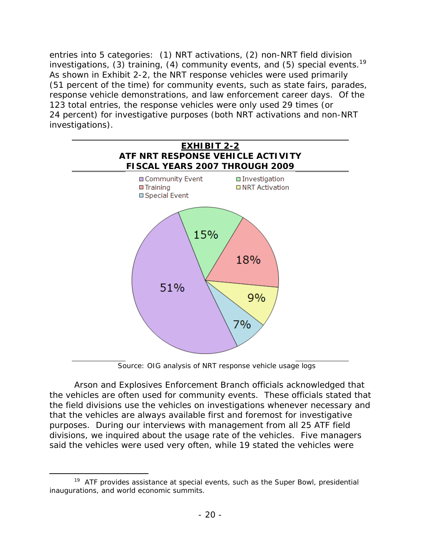investigations, (3) training, (4) community events, and (5) special events.<sup>19</sup> entries into 5 categories: (1) NRT activations, (2) non-NRT field division As shown in Exhibit 2-2, the NRT response vehicles were used primarily (51 percent of the time) for community events, such as state fairs, parades, response vehicle demonstrations, and law enforcement career days. Of the 123 total entries, the response vehicles were only used 29 times (or 24 percent) for investigative purposes (both NRT activations and non-NRT investigations).



Source: OIG analysis of NRT response vehicle usage logs

Arson and Explosives Enforcement Branch officials acknowledged that the vehicles are often used for community events. These officials stated that the field divisions use the vehicles on investigations whenever necessary and that the vehicles are always available first and foremost for investigative purposes. During our interviews with management from all 25 ATF field divisions, we inquired about the usage rate of the vehicles. Five managers said the vehicles were used very often, while 19 stated the vehicles were

 $\overline{a}$ 

 $19$  ATF provides assistance at special events, such as the Super Bowl, presidential inaugurations, and world economic summits.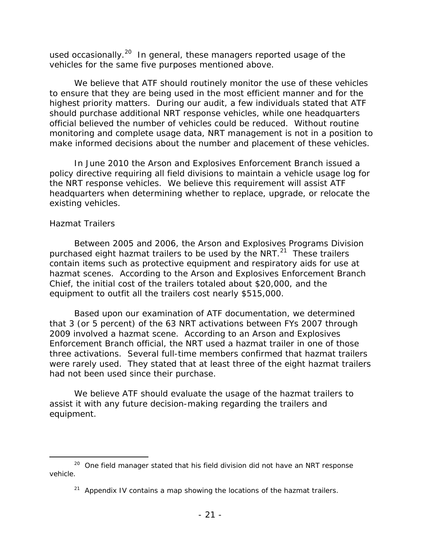used occasionally.<sup>20</sup> In general, these managers reported usage of the vehicles for the same five purposes mentioned above.

We believe that ATF should routinely monitor the use of these vehicles to ensure that they are being used in the most efficient manner and for the highest priority matters. During our audit, a few individuals stated that ATF should purchase additional NRT response vehicles, while one headquarters official believed the number of vehicles could be reduced. Without routine monitoring and complete usage data, NRT management is not in a position to make informed decisions about the number and placement of these vehicles.

In June 2010 the Arson and Explosives Enforcement Branch issued a policy directive requiring all field divisions to maintain a vehicle usage log for the NRT response vehicles. We believe this requirement will assist ATF headquarters when determining whether to replace, upgrade, or relocate the existing vehicles.

#### *Hazmat Trailers*

 $\overline{a}$ 

Between 2005 and 2006, the Arson and Explosives Programs Division purchased eight hazmat trailers to be used by the NRT. $^{21}$  These trailers contain items such as protective equipment and respiratory aids for use at hazmat scenes. According to the Arson and Explosives Enforcement Branch Chief, the initial cost of the trailers totaled about \$20,000, and the equipment to outfit all the trailers cost nearly \$515,000.

Based upon our examination of ATF documentation, we determined that 3 (or 5 percent) of the 63 NRT activations between FYs 2007 through 2009 involved a hazmat scene. According to an Arson and Explosives Enforcement Branch official, the NRT used a hazmat trailer in one of those three activations. Several full-time members confirmed that hazmat trailers were rarely used. They stated that at least three of the eight hazmat trailers had not been used since their purchase.

We believe ATF should evaluate the usage of the hazmat trailers to assist it with any future decision-making regarding the trailers and equipment.

 $20$  One field manager stated that his field division did not have an NRT response vehicle.

 $21$  Appendix IV contains a map showing the locations of the hazmat trailers.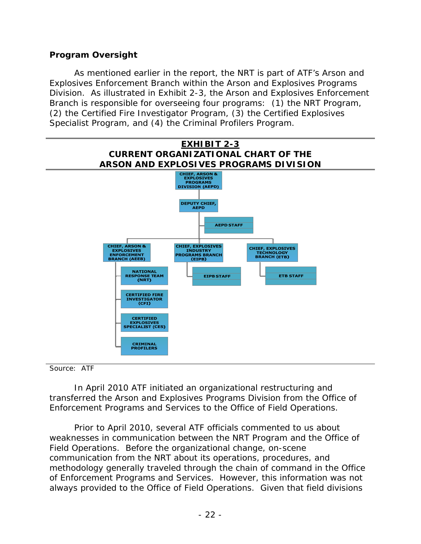## **Program Oversight**

As mentioned earlier in the report, the NRT is part of ATF's Arson and Explosives Enforcement Branch within the Arson and Explosives Programs Division. As illustrated in Exhibit 2-3, the Arson and Explosives Enforcement Branch is responsible for overseeing four programs: (1) the NRT Program, (2) the Certified Fire Investigator Program, (3) the Certified Explosives Specialist Program, and (4) the Criminal Profilers Program.



Source: ATF

In April 2010 ATF initiated an organizational restructuring and transferred the Arson and Explosives Programs Division from the Office of Enforcement Programs and Services to the Office of Field Operations.

Prior to April 2010, several ATF officials commented to us about weaknesses in communication between the NRT Program and the Office of Field Operations. Before the organizational change, on-scene communication from the NRT about its operations, procedures, and methodology generally traveled through the chain of command in the Office of Enforcement Programs and Services. However, this information was not always provided to the Office of Field Operations. Given that field divisions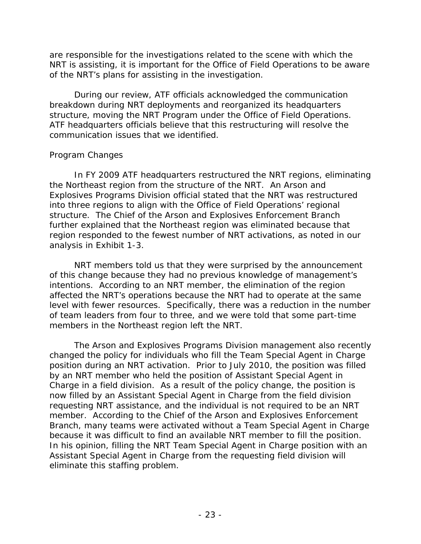are responsible for the investigations related to the scene with which the NRT is assisting, it is important for the Office of Field Operations to be aware of the NRT's plans for assisting in the investigation.

During our review, ATF officials acknowledged the communication breakdown during NRT deployments and reorganized its headquarters structure, moving the NRT Program under the Office of Field Operations. ATF headquarters officials believe that this restructuring will resolve the communication issues that we identified.

## *Program Changes*

In FY 2009 ATF headquarters restructured the NRT regions, eliminating the Northeast region from the structure of the NRT. An Arson and Explosives Programs Division official stated that the NRT was restructured into three regions to align with the Office of Field Operations' regional structure. The Chief of the Arson and Explosives Enforcement Branch further explained that the Northeast region was eliminated because that region responded to the fewest number of NRT activations, as noted in our analysis in Exhibit 1-3.

NRT members told us that they were surprised by the announcement of this change because they had no previous knowledge of management's intentions. According to an NRT member, the elimination of the region affected the NRT's operations because the NRT had to operate at the same level with fewer resources. Specifically, there was a reduction in the number of team leaders from four to three, and we were told that some part-time members in the Northeast region left the NRT.

The Arson and Explosives Programs Division management also recently changed the policy for individuals who fill the Team Special Agent in Charge position during an NRT activation. Prior to July 2010, the position was filled by an NRT member who held the position of Assistant Special Agent in Charge in a field division. As a result of the policy change, the position is now filled by an Assistant Special Agent in Charge from the field division requesting NRT assistance, and the individual is not required to be an NRT member. According to the Chief of the Arson and Explosives Enforcement Branch, many teams were activated without a Team Special Agent in Charge because it was difficult to find an available NRT member to fill the position. In his opinion, filling the NRT Team Special Agent in Charge position with an Assistant Special Agent in Charge from the requesting field division will eliminate this staffing problem.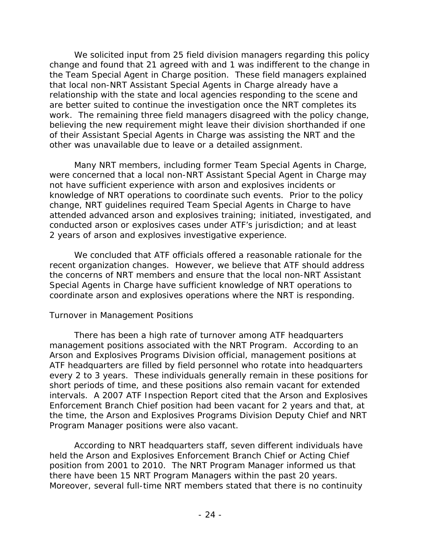We solicited input from 25 field division managers regarding this policy change and found that 21 agreed with and 1 was indifferent to the change in the Team Special Agent in Charge position. These field managers explained that local non-NRT Assistant Special Agents in Charge already have a relationship with the state and local agencies responding to the scene and are better suited to continue the investigation once the NRT completes its work. The remaining three field managers disagreed with the policy change, believing the new requirement might leave their division shorthanded if one of their Assistant Special Agents in Charge was assisting the NRT and the other was unavailable due to leave or a detailed assignment.

Many NRT members, including former Team Special Agents in Charge, were concerned that a local non-NRT Assistant Special Agent in Charge may not have sufficient experience with arson and explosives incidents or knowledge of NRT operations to coordinate such events. Prior to the policy change, NRT guidelines required Team Special Agents in Charge to have attended advanced arson and explosives training; initiated, investigated, and conducted arson or explosives cases under ATF's jurisdiction; and at least 2 years of arson and explosives investigative experience.

We concluded that ATF officials offered a reasonable rationale for the recent organization changes. However, we believe that ATF should address the concerns of NRT members and ensure that the local non-NRT Assistant Special Agents in Charge have sufficient knowledge of NRT operations to coordinate arson and explosives operations where the NRT is responding.

#### *Turnover in Management Positions*

There has been a high rate of turnover among ATF headquarters management positions associated with the NRT Program. According to an Arson and Explosives Programs Division official, management positions at ATF headquarters are filled by field personnel who rotate into headquarters every 2 to 3 years. These individuals generally remain in these positions for short periods of time, and these positions also remain vacant for extended intervals. A 2007 ATF Inspection Report cited that the Arson and Explosives Enforcement Branch Chief position had been vacant for 2 years and that, at the time, the Arson and Explosives Programs Division Deputy Chief and NRT Program Manager positions were also vacant.

there have been 15 NRT Program Managers within the past 20 years. According to NRT headquarters staff, seven different individuals have held the Arson and Explosives Enforcement Branch Chief or Acting Chief position from 2001 to 2010. The NRT Program Manager informed us that Moreover, several full-time NRT members stated that there is no continuity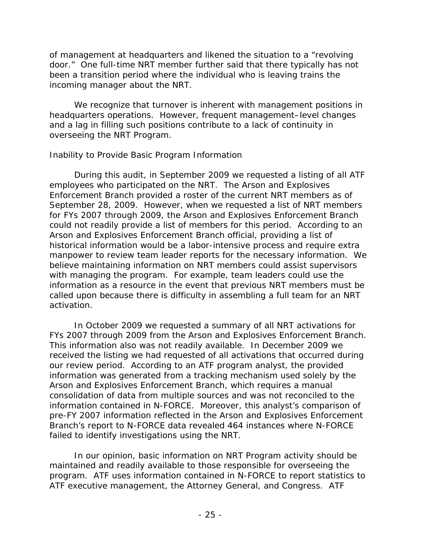of management at headquarters and likened the situation to a "revolving door." One full-time NRT member further said that there typically has not been a transition period where the individual who is leaving trains the incoming manager about the NRT.

We recognize that turnover is inherent with management positions in headquarters operations. However, frequent management–level changes and a lag in filling such positions contribute to a lack of continuity in overseeing the NRT Program.

## *Inability to Provide Basic Program Information*

During this audit, in September 2009 we requested a listing of all ATF employees who participated on the NRT. The Arson and Explosives Enforcement Branch provided a roster of the current NRT members as of September 28, 2009. However, when we requested a list of NRT members for FYs 2007 through 2009, the Arson and Explosives Enforcement Branch could not readily provide a list of members for this period. According to an Arson and Explosives Enforcement Branch official, providing a list of historical information would be a labor-intensive process and require extra manpower to review team leader reports for the necessary information. We believe maintaining information on NRT members could assist supervisors with managing the program. For example, team leaders could use the information as a resource in the event that previous NRT members must be called upon because there is difficulty in assembling a full team for an NRT activation.

In October 2009 we requested a summary of all NRT activations for FYs 2007 through 2009 from the Arson and Explosives Enforcement Branch. This information also was not readily available. In December 2009 we received the listing we had requested of all activations that occurred during our review period. According to an ATF program analyst, the provided information was generated from a tracking mechanism used solely by the Arson and Explosives Enforcement Branch, which requires a manual consolidation of data from multiple sources and was not reconciled to the information contained in N-FORCE. Moreover, this analyst's comparison of pre-FY 2007 information reflected in the Arson and Explosives Enforcement Branch's report to N-FORCE data revealed 464 instances where N-FORCE failed to identify investigations using the NRT.

In our opinion, basic information on NRT Program activity should be maintained and readily available to those responsible for overseeing the program. ATF uses information contained in N-FORCE to report statistics to ATF executive management, the Attorney General, and Congress. ATF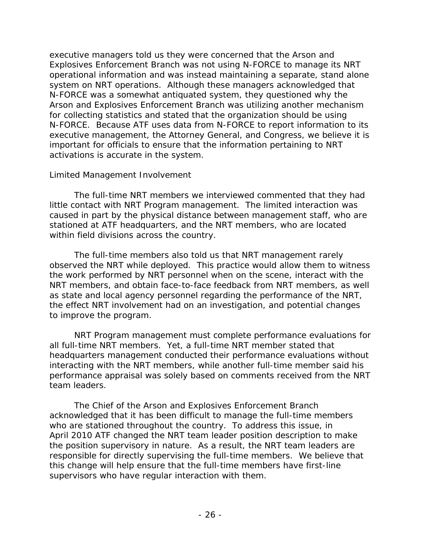executive managers told us they were concerned that the Arson and Explosives Enforcement Branch was not using N-FORCE to manage its NRT operational information and was instead maintaining a separate, stand alone system on NRT operations. Although these managers acknowledged that N-FORCE was a somewhat antiquated system, they questioned why the Arson and Explosives Enforcement Branch was utilizing another mechanism for collecting statistics and stated that the organization should be using N-FORCE. Because ATF uses data from N-FORCE to report information to its executive management, the Attorney General, and Congress, we believe it is important for officials to ensure that the information pertaining to NRT activations is accurate in the system.

#### *Limited Management Involvement*

The full-time NRT members we interviewed commented that they had little contact with NRT Program management. The limited interaction was caused in part by the physical distance between management staff, who are stationed at ATF headquarters, and the NRT members, who are located within field divisions across the country.

The full-time members also told us that NRT management rarely observed the NRT while deployed. This practice would allow them to witness the work performed by NRT personnel when on the scene, interact with the NRT members, and obtain face-to-face feedback from NRT members, as well as state and local agency personnel regarding the performance of the NRT, the effect NRT involvement had on an investigation, and potential changes to improve the program.

NRT Program management must complete performance evaluations for all full-time NRT members. Yet, a full-time NRT member stated that headquarters management conducted their performance evaluations without interacting with the NRT members, while another full-time member said his performance appraisal was solely based on comments received from the NRT team leaders.

The Chief of the Arson and Explosives Enforcement Branch acknowledged that it has been difficult to manage the full-time members who are stationed throughout the country. To address this issue, in April 2010 ATF changed the NRT team leader position description to make the position supervisory in nature. As a result, the NRT team leaders are responsible for directly supervising the full-time members. We believe that this change will help ensure that the full-time members have first-line supervisors who have regular interaction with them.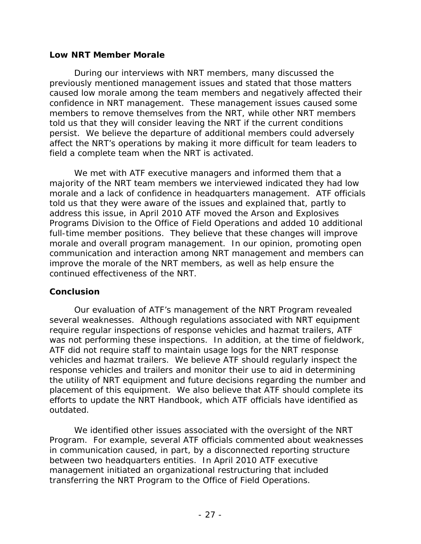#### **Low NRT Member Morale**

During our interviews with NRT members, many discussed the previously mentioned management issues and stated that those matters caused low morale among the team members and negatively affected their confidence in NRT management. These management issues caused some members to remove themselves from the NRT, while other NRT members told us that they will consider leaving the NRT if the current conditions persist. We believe the departure of additional members could adversely affect the NRT's operations by making it more difficult for team leaders to field a complete team when the NRT is activated.

We met with ATF executive managers and informed them that a majority of the NRT team members we interviewed indicated they had low morale and a lack of confidence in headquarters management. ATF officials told us that they were aware of the issues and explained that, partly to address this issue, in April 2010 ATF moved the Arson and Explosives Programs Division to the Office of Field Operations and added 10 additional full-time member positions. They believe that these changes will improve morale and overall program management. In our opinion, promoting open communication and interaction among NRT management and members can improve the morale of the NRT members, as well as help ensure the continued effectiveness of the NRT.

#### **Conclusion**

Our evaluation of ATF's management of the NRT Program revealed several weaknesses. Although regulations associated with NRT equipment require regular inspections of response vehicles and hazmat trailers, ATF was not performing these inspections. In addition, at the time of fieldwork, ATF did not require staff to maintain usage logs for the NRT response vehicles and hazmat trailers. We believe ATF should regularly inspect the response vehicles and trailers and monitor their use to aid in determining the utility of NRT equipment and future decisions regarding the number and placement of this equipment. We also believe that ATF should complete its efforts to update the NRT Handbook, which ATF officials have identified as outdated.

We identified other issues associated with the oversight of the NRT Program. For example, several ATF officials commented about weaknesses in communication caused, in part, by a disconnected reporting structure between two headquarters entities. In April 2010 ATF executive management initiated an organizational restructuring that included transferring the NRT Program to the Office of Field Operations.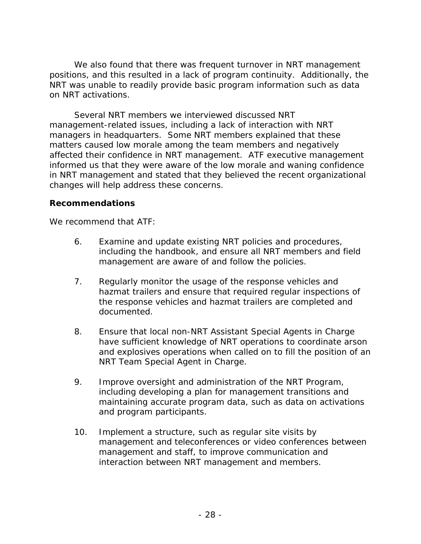We also found that there was frequent turnover in NRT management positions, and this resulted in a lack of program continuity. Additionally, the NRT was unable to readily provide basic program information such as data on NRT activations.

Several NRT members we interviewed discussed NRT management-related issues, including a lack of interaction with NRT managers in headquarters. Some NRT members explained that these matters caused low morale among the team members and negatively affected their confidence in NRT management. ATF executive management informed us that they were aware of the low morale and waning confidence in NRT management and stated that they believed the recent organizational changes will help address these concerns.

#### **Recommendations**

We recommend that ATF:

- 6. Examine and update existing NRT policies and procedures, including the handbook, and ensure all NRT members and field management are aware of and follow the policies.
- 7. Regularly monitor the usage of the response vehicles and hazmat trailers and ensure that required regular inspections of the response vehicles and hazmat trailers are completed and documented.
- 8. Ensure that local non-NRT Assistant Special Agents in Charge have sufficient knowledge of NRT operations to coordinate arson and explosives operations when called on to fill the position of an NRT Team Special Agent in Charge.
- 9. Improve oversight and administration of the NRT Program, including developing a plan for management transitions and maintaining accurate program data, such as data on activations and program participants.
- 10. Implement a structure, such as regular site visits by management and teleconferences or video conferences between management and staff, to improve communication and interaction between NRT management and members.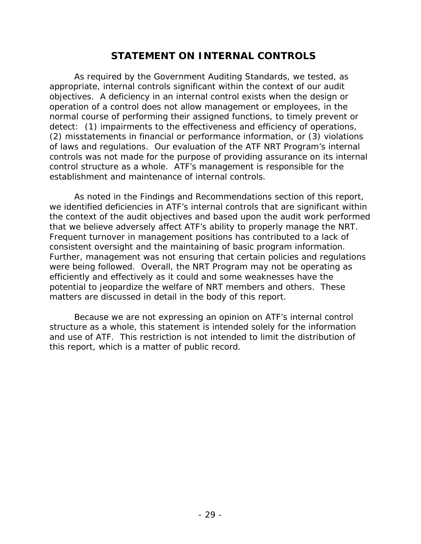# **STATEMENT ON INTERNAL CONTROLS**

As required by the *Government Auditing Standards*, we tested, as appropriate, internal controls significant within the context of our audit objectives. A deficiency in an internal control exists when the design or operation of a control does not allow management or employees, in the normal course of performing their assigned functions, to timely prevent or detect: (1) impairments to the effectiveness and efficiency of operations, (2) misstatements in financial or performance information, or (3) violations of laws and regulations. Our evaluation of the ATF NRT Program's internal controls was *not* made for the purpose of providing assurance on its internal control structure as a whole. ATF's management is responsible for the establishment and maintenance of internal controls.

As noted in the Findings and Recommendations section of this report, we identified deficiencies in ATF's internal controls that are significant within the context of the audit objectives and based upon the audit work performed that we believe adversely affect ATF's ability to properly manage the NRT. Frequent turnover in management positions has contributed to a lack of consistent oversight and the maintaining of basic program information. Further, management was not ensuring that certain policies and regulations were being followed. Overall, the NRT Program may not be operating as efficiently and effectively as it could and some weaknesses have the potential to jeopardize the welfare of NRT members and others. These matters are discussed in detail in the body of this report.

Because we are not expressing an opinion on ATF's internal control structure as a whole, this statement is intended solely for the information and use of ATF. This restriction is not intended to limit the distribution of this report, which is a matter of public record.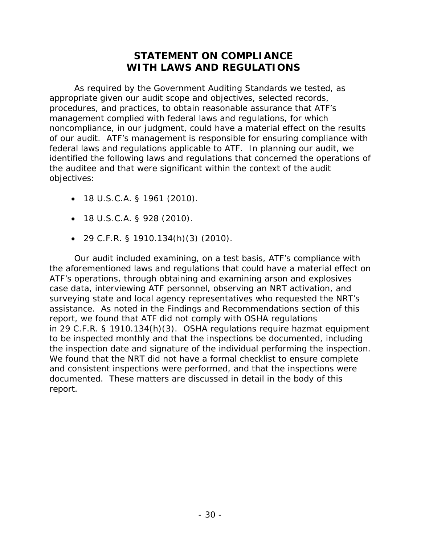# **STATEMENT ON COMPLIANCE WITH LAWS AND REGULATIONS**

As required by the *Government Auditing Standards* we tested, as appropriate given our audit scope and objectives, selected records, procedures, and practices, to obtain reasonable assurance that ATF's management complied with federal laws and regulations, for which noncompliance, in our judgment, could have a material effect on the results of our audit. ATF's management is responsible for ensuring compliance with federal laws and regulations applicable to ATF. In planning our audit, we identified the following laws and regulations that concerned the operations of the auditee and that were significant within the context of the audit objectives:

- 18 U.S.C.A. § 1961 (2010).
- 18 U.S.C.A. § 928 (2010).
- 29 C.F.R. § 1910.134(h)(3) (2010).

Our audit included examining, on a test basis, ATF's compliance with the aforementioned laws and regulations that could have a material effect on ATF's operations, through obtaining and examining arson and explosives case data, interviewing ATF personnel, observing an NRT activation, and surveying state and local agency representatives who requested the NRT's assistance. As noted in the Findings and Recommendations section of this report, we found that ATF did not comply with OSHA regulations in 29 C.F.R. § 1910.134(h)(3). OSHA regulations require hazmat equipment to be inspected monthly and that the inspections be documented, including the inspection date and signature of the individual performing the inspection. We found that the NRT did not have a formal checklist to ensure complete and consistent inspections were performed, and that the inspections were documented. These matters are discussed in detail in the body of this report.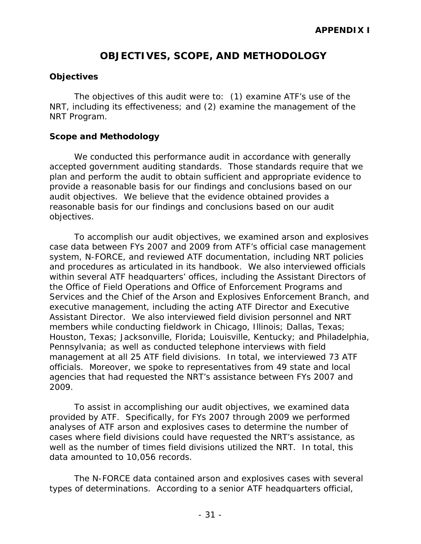# **OBJECTIVES, SCOPE, AND METHODOLOGY**

#### **Objectives**

The objectives of this audit were to: (1) examine ATF's use of the NRT, including its effectiveness; and (2) examine the management of the NRT Program.

#### **Scope and Methodology**

We conducted this performance audit in accordance with generally accepted government auditing standards. Those standards require that we plan and perform the audit to obtain sufficient and appropriate evidence to provide a reasonable basis for our findings and conclusions based on our audit objectives. We believe that the evidence obtained provides a reasonable basis for our findings and conclusions based on our audit objectives.

To accomplish our audit objectives, we examined arson and explosives case data between FYs 2007 and 2009 from ATF's official case management system, N-FORCE, and reviewed ATF documentation, including NRT policies and procedures as articulated in its handbook. We also interviewed officials within several ATF headquarters' offices, including the Assistant Directors of the Office of Field Operations and Office of Enforcement Programs and Services and the Chief of the Arson and Explosives Enforcement Branch, and executive management, including the acting ATF Director and Executive Assistant Director. We also interviewed field division personnel and NRT members while conducting fieldwork in Chicago, Illinois; Dallas, Texas; Houston, Texas; Jacksonville, Florida; Louisville, Kentucky; and Philadelphia, Pennsylvania; as well as conducted telephone interviews with field management at all 25 ATF field divisions. In total, we interviewed 73 ATF officials. Moreover, we spoke to representatives from 49 state and local agencies that had requested the NRT's assistance between FYs 2007 and 2009.

To assist in accomplishing our audit objectives, we examined data provided by ATF. Specifically, for FYs 2007 through 2009 we performed analyses of ATF arson and explosives cases to determine the number of cases where field divisions could have requested the NRT's assistance, as well as the number of times field divisions utilized the NRT. In total, this data amounted to 10,056 records.

The N-FORCE data contained arson and explosives cases with several types of determinations. According to a senior ATF headquarters official,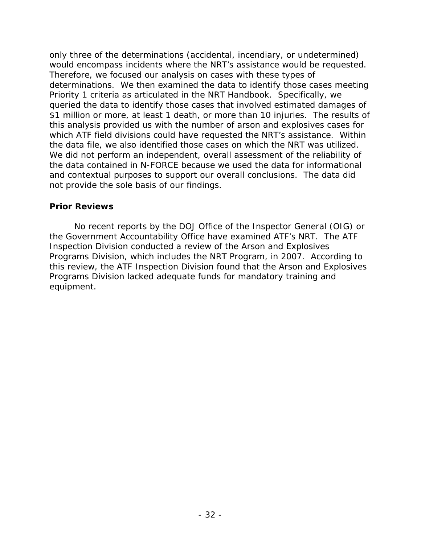only three of the determinations (accidental, incendiary, or undetermined) would encompass incidents where the NRT's assistance would be requested. Therefore, we focused our analysis on cases with these types of determinations. We then examined the data to identify those cases meeting Priority 1 criteria as articulated in the NRT Handbook. Specifically, we queried the data to identify those cases that involved estimated damages of \$1 million or more, at least 1 death, or more than 10 injuries. The results of this analysis provided us with the number of arson and explosives cases for which ATF field divisions could have requested the NRT's assistance. Within the data file, we also identified those cases on which the NRT was utilized. We did not perform an independent, overall assessment of the reliability of the data contained in N-FORCE because we used the data for informational and contextual purposes to support our overall conclusions. The data did not provide the sole basis of our findings.

#### **Prior Reviews**

No recent reports by the DOJ Office of the Inspector General (OIG) or the Government Accountability Office have examined ATF's NRT. The ATF Inspection Division conducted a review of the Arson and Explosives Programs Division, which includes the NRT Program, in 2007. According to this review, the ATF Inspection Division found that the Arson and Explosives Programs Division lacked adequate funds for mandatory training and equipment.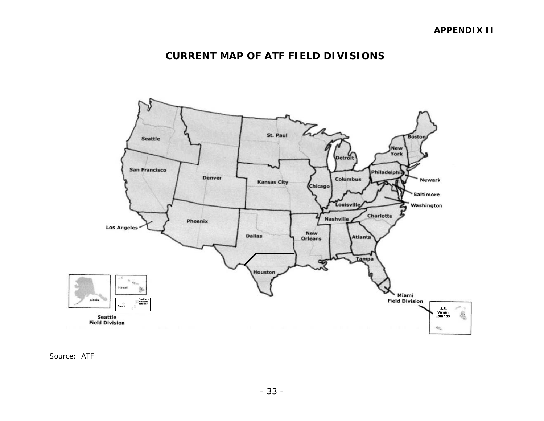# **CURRENT MAP OF ATF FIELD DIVISIONS**



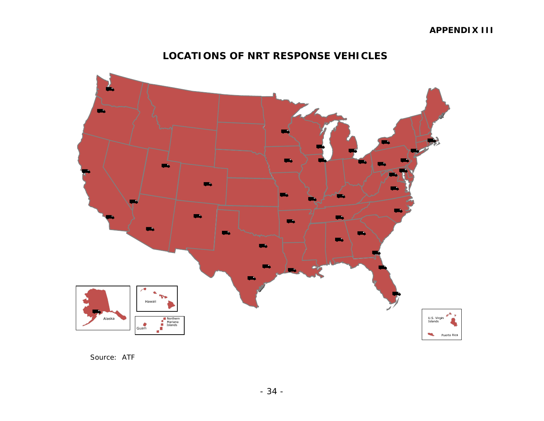#### **APPENDIX III**

#### **LOCATIONS OF NRT RESPONSE VEHICLES**



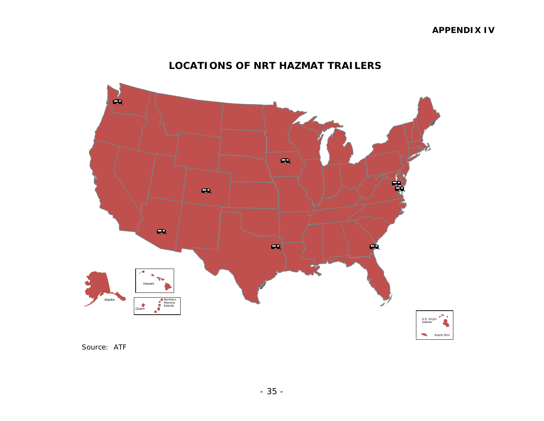# **LOCATIONS OF NRT HAZMAT TRAILERS**



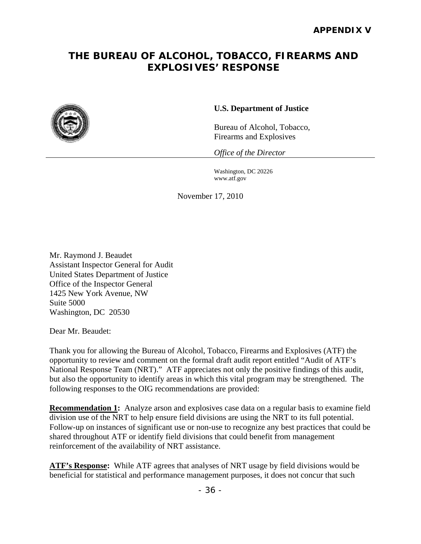# **THE BUREAU OF ALCOHOL, TOBACCO, FIREARMS AND EXPLOSIVES' RESPONSE**



#### **U.S. Department of Justice**

Bureau of Alcohol, Tobacco, Firearms and Explosives

*Office of the Director* 

www.atf.gov Washington, DC 20226

November 17, 2010

Mr. Raymond J. Beaudet Assistant Inspector General for Audit United States Department of Justice Office of the Inspector General 1425 New York Avenue, NW Suite 5000 Washington, DC 20530

Dear Mr. Beaudet:

 following responses to the OIG recommendations are provided: Thank you for allowing the Bureau of Alcohol, Tobacco, Firearms and Explosives (ATF) the opportunity to review and comment on the formal draft audit report entitled "Audit of ATF's National Response Team (NRT)." ATF appreciates not only the positive findings of this audit, but also the opportunity to identify areas in which this vital program may be strengthened. The

division use of the NRT to help ensure field divisions are using the NRT to its full potential. **Recommendation 1:** Analyze arson and explosives case data on a regular basis to examine field Follow-up on instances of significant use or non-use to recognize any best practices that could be shared throughout ATF or identify field divisions that could benefit from management reinforcement of the availability of NRT assistance.

beneficial for statistical and performance management purposes, it does not concur that such **ATF's Response:** While ATF agrees that analyses of NRT usage by field divisions would be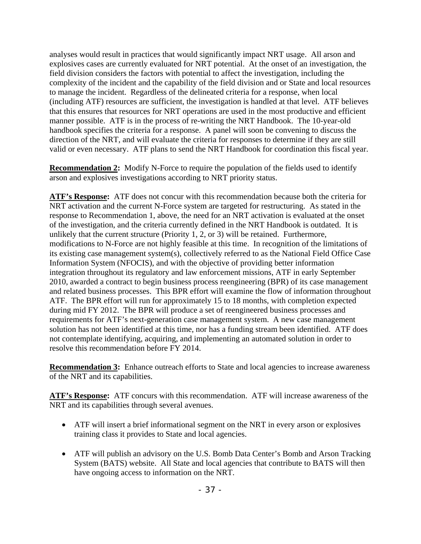analyses would result in practices that would significantly impact NRT usage. All arson and explosives cases are currently evaluated for NRT potential. At the onset of an investigation, the field division considers the factors with potential to affect the investigation, including the complexity of the incident and the capability of the field division and or State and local resources to manage the incident. Regardless of the delineated criteria for a response, when local (including ATF) resources are sufficient, the investigation is handled at that level. ATF believes that this ensures that resources for NRT operations are used in the most productive and efficient manner possible. ATF is in the process of re-writing the NRT Handbook. The 10-year-old handbook specifies the criteria for a response. A panel will soon be convening to discuss the direction of the NRT, and will evaluate the criteria for responses to determine if they are still valid or even necessary. ATF plans to send the NRT Handbook for coordination this fiscal year.

**Recommendation 2:** Modify N-Force to require the population of the fields used to identify arson and explosives investigations according to NRT priority status.

**ATF's Response:** ATF does not concur with this recommendation because both the criteria for NRT activation and the current N-Force system are targeted for restructuring. As stated in the response to Recommendation 1, above, the need for an NRT activation is evaluated at the onset of the investigation, and the criteria currently defined in the NRT Handbook is outdated. It is unlikely that the current structure (Priority 1, 2, or 3) will be retained. Furthermore, modifications to N-Force are not highly feasible at this time. In recognition of the limitations of its existing case management system(s), collectively referred to as the National Field Office Case Information System (NFOCIS), and with the objective of providing better information integration throughout its regulatory and law enforcement missions, ATF in early September 2010, awarded a contract to begin business process reengineering (BPR) of its case management and related business processes. This BPR effort will examine the flow of information throughout ATF. The BPR effort will run for approximately 15 to 18 months, with completion expected during mid FY 2012. The BPR will produce a set of reengineered business processes and requirements for ATF's next-generation case management system. A new case management solution has not been identified at this time, nor has a funding stream been identified. ATF does not contemplate identifying, acquiring, and implementing an automated solution in order to resolve this recommendation before FY 2014.

**Recommendation 3:** Enhance outreach efforts to State and local agencies to increase awareness of the NRT and its capabilities.

 **ATF's Response:** ATF concurs with this recommendation. ATF will increase awareness of the NRT and its capabilities through several avenues.

- ATF will insert a brief informational segment on the NRT in every arson or explosives training class it provides to State and local agencies.
- ATF will publish an advisory on the U.S. Bomb Data Center's Bomb and Arson Tracking System (BATS) website. All State and local agencies that contribute to BATS will then have ongoing access to information on the NRT.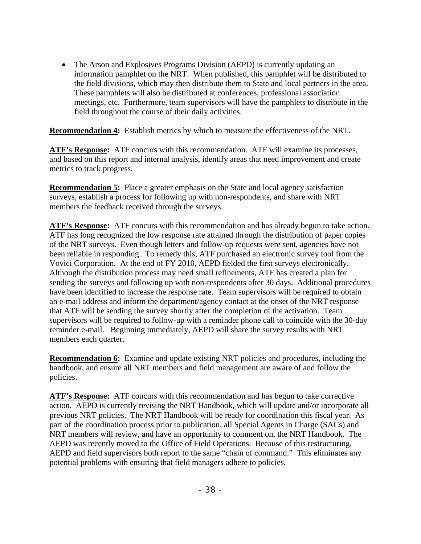• The Arson and Explosives Programs Division (AEPD) is currently updating an information pamphlet on the NRT. When published, this pamphlet will be distributed to the field divisions, which may then distribute them to State and local partners in the area. These pamphlets will also be distributed at conferences, professional association meetings, etc. Furthermore, team supervisors will have the pamphlets to distribute in the field throughout the course of their daily activities.

**Recommendation 4:** Establish metrics by which to measure the effectiveness of the NRT.

**ATF's Response:** ATF concurs with this recommendation. ATF will examine its processes, and based on this report and internal analysis, identify areas that need improvement and create metrics to track progress.

**Recommendation 5:** Place a greater emphasis on the State and local agency satisfaction surveys, establish a process for following up with non-respondents, and share with NRT members the feedback received through the surveys.

**ATF's Response:** ATF concurs with this recommendation and has already begun to take action. ATF has long recognized the low response rate attained through the distribution of paper copies of the NRT surveys. Even though letters and follow-up requests were sent, agencies have not been reliable in responding. To remedy this, ATF purchased an electronic survey tool from the Vovici Corporation. At the end of FY 2010, AEPD fielded the first surveys electronically. Although the distribution process may need small refinements, ATF has created a plan for sending the surveys and following up with non-respondents after 30 days. Additional procedures have been identified to increase the response rate. Team supervisors will be required to obtain an e-mail address and inform the department/agency contact at the onset of the NRT response that ATF will be sending the survey shortly after the completion of the activation. Team supervisors will be required to follow-up with a reminder phone call to coincide with the 30-day reminder e-mail. Beginning immediately, AEPD will share the survey results with NRT members each quarter.

**Recommendation 6:** Examine and update existing NRT policies and procedures, including the handbook, and ensure all NRT members and field management are aware of and follow the policies.

 action. AEPD is currently revising the NRT Handbook, which will update and/or incorporate all **ATF's Response:** ATF concurs with this recommendation and has begun to take corrective previous NRT policies. The NRT Handbook will be ready for coordination this fiscal year. As part of the coordination process prior to publication, all Special Agents in Charge (SACs) and NRT members will review, and have an opportunity to comment on, the NRT Handbook. The AEPD was recently moved to the Office of Field Operations. Because of this restructuring, AEPD and field supervisors both report to the same "chain of command." This eliminates any potential problems with ensuring that field managers adhere to policies.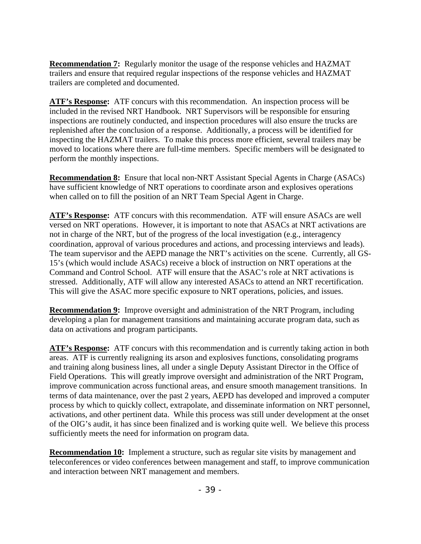**Recommendation 7:** Regularly monitor the usage of the response vehicles and HAZMAT trailers and ensure that required regular inspections of the response vehicles and HAZMAT trailers are completed and documented.

**ATF's Response:** ATF concurs with this recommendation. An inspection process will be included in the revised NRT Handbook. NRT Supervisors will be responsible for ensuring inspections are routinely conducted, and inspection procedures will also ensure the trucks are replenished after the conclusion of a response. Additionally, a process will be identified for inspecting the HAZMAT trailers. To make this process more efficient, several trailers may be moved to locations where there are full-time members. Specific members will be designated to perform the monthly inspections.

**Recommendation 8:** Ensure that local non-NRT Assistant Special Agents in Charge (ASACs) have sufficient knowledge of NRT operations to coordinate arson and explosives operations when called on to fill the position of an NRT Team Special Agent in Charge.

 **ATF's Response:** ATF concurs with this recommendation. ATF will ensure ASACs are well versed on NRT operations. However, it is important to note that ASACs at NRT activations are not in charge of the NRT, but of the progress of the local investigation (e.g., interagency coordination, approval of various procedures and actions, and processing interviews and leads). The team supervisor and the AEPD manage the NRT's activities on the scene. Currently, all GS-15's (which would include ASACs) receive a block of instruction on NRT operations at the Command and Control School. ATF will ensure that the ASAC's role at NRT activations is stressed. Additionally, ATF will allow any interested ASACs to attend an NRT recertification. This will give the ASAC more specific exposure to NRT operations, policies, and issues.

**Recommendation 9:** Improve oversight and administration of the NRT Program, including developing a plan for management transitions and maintaining accurate program data, such as data on activations and program participants.

**ATF's Response:** ATF concurs with this recommendation and is currently taking action in both areas. ATF is currently realigning its arson and explosives functions, consolidating programs and training along business lines, all under a single Deputy Assistant Director in the Office of Field Operations. This will greatly improve oversight and administration of the NRT Program, improve communication across functional areas, and ensure smooth management transitions. In terms of data maintenance, over the past 2 years, AEPD has developed and improved a computer process by which to quickly collect, extrapolate, and disseminate information on NRT personnel, activations, and other pertinent data. While this process was still under development at the onset of the OIG's audit, it has since been finalized and is working quite well. We believe this process sufficiently meets the need for information on program data.

**Recommendation 10:** Implement a structure, such as regular site visits by management and teleconferences or video conferences between management and staff, to improve communication and interaction between NRT management and members.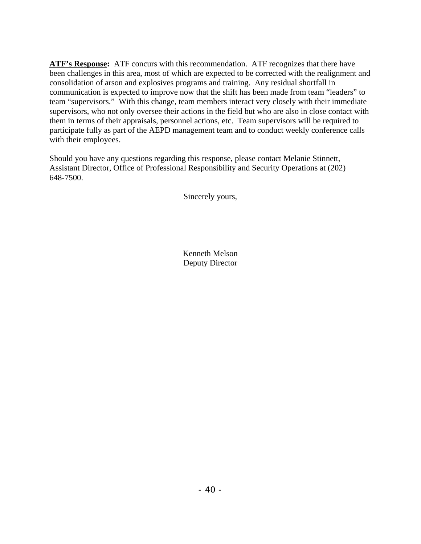**ATF's Response:** ATF concurs with this recommendation. ATF recognizes that there have been challenges in this area, most of which are expected to be corrected with the realignment and consolidation of arson and explosives programs and training. Any residual shortfall in communication is expected to improve now that the shift has been made from team "leaders" to team "supervisors." With this change, team members interact very closely with their immediate supervisors, who not only oversee their actions in the field but who are also in close contact with them in terms of their appraisals, personnel actions, etc. Team supervisors will be required to participate fully as part of the AEPD management team and to conduct weekly conference calls with their employees.

Should you have any questions regarding this response, please contact Melanie Stinnett, Assistant Director, Office of Professional Responsibility and Security Operations at (202) 648-7500.

Sincerely yours,

Kenneth Melson Deputy Director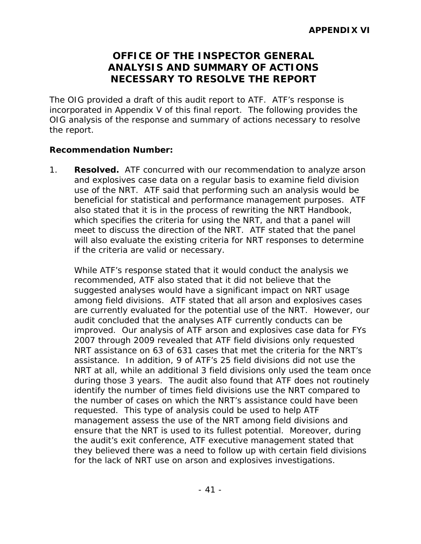# **OFFICE OF THE INSPECTOR GENERAL ANALYSIS AND SUMMARY OF ACTIONS NECESSARY TO RESOLVE THE REPORT**

The OIG provided a draft of this audit report to ATF. ATF's response is incorporated in Appendix V of this final report. The following provides the OIG analysis of the response and summary of actions necessary to resolve the report.

#### **Recommendation Number:**

1. **Resolved.** ATF concurred with our recommendation to analyze arson and explosives case data on a regular basis to examine field division use of the NRT. ATF said that performing such an analysis would be beneficial for statistical and performance management purposes. ATF also stated that it is in the process of rewriting the NRT Handbook, which specifies the criteria for using the NRT, and that a panel will meet to discuss the direction of the NRT. ATF stated that the panel will also evaluate the existing criteria for NRT responses to determine if the criteria are valid or necessary.

While ATF's response stated that it would conduct the analysis we recommended, ATF also stated that it did not believe that the suggested analyses would have a significant impact on NRT usage among field divisions. ATF stated that all arson and explosives cases are currently evaluated for the potential use of the NRT. However, our audit concluded that the analyses ATF currently conducts can be improved. Our analysis of ATF arson and explosives case data for FYs 2007 through 2009 revealed that ATF field divisions only requested NRT assistance on 63 of 631 cases that met the criteria for the NRT's assistance. In addition, 9 of ATF's 25 field divisions did not use the NRT at all, while an additional 3 field divisions only used the team once during those 3 years. The audit also found that ATF does not routinely identify the number of times field divisions use the NRT compared to the number of cases on which the NRT's assistance could have been requested. This type of analysis could be used to help ATF management assess the use of the NRT among field divisions and ensure that the NRT is used to its fullest potential. Moreover, during the audit's exit conference, ATF executive management stated that they believed there was a need to follow up with certain field divisions for the lack of NRT use on arson and explosives investigations.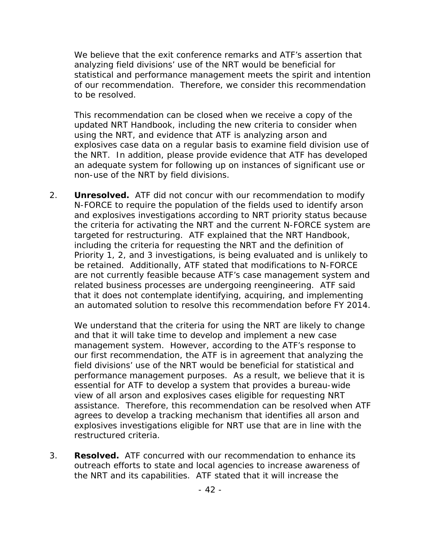We believe that the exit conference remarks and ATF's assertion that analyzing field divisions' use of the NRT would be beneficial for statistical and performance management meets the spirit and intention of our recommendation. Therefore, we consider this recommendation to be resolved.

This recommendation can be closed when we receive a copy of the updated NRT Handbook, including the new criteria to consider when using the NRT, and evidence that ATF is analyzing arson and explosives case data on a regular basis to examine field division use of the NRT. In addition, please provide evidence that ATF has developed an adequate system for following up on instances of significant use or non-use of the NRT by field divisions.

2. **Unresolved.** ATF did not concur with our recommendation to modify N-FORCE to require the population of the fields used to identify arson and explosives investigations according to NRT priority status because the criteria for activating the NRT and the current N-FORCE system are targeted for restructuring. ATF explained that the NRT Handbook, including the criteria for requesting the NRT and the definition of Priority 1, 2, and 3 investigations, is being evaluated and is unlikely to be retained. Additionally, ATF stated that modifications to N-FORCE are not currently feasible because ATF's case management system and related business processes are undergoing reengineering. ATF said that it does not contemplate identifying, acquiring, and implementing an automated solution to resolve this recommendation before FY 2014.

We understand that the criteria for using the NRT are likely to change and that it will take time to develop and implement a new case management system. However, according to the ATF's response to our first recommendation, the ATF is in agreement that analyzing the field divisions' use of the NRT would be beneficial for statistical and performance management purposes. As a result, we believe that it is essential for ATF to develop a system that provides a bureau-wide view of all arson and explosives cases eligible for requesting NRT assistance. Therefore, this recommendation can be resolved when ATF agrees to develop a tracking mechanism that identifies all arson and explosives investigations eligible for NRT use that are in line with the restructured criteria.

3. **Resolved.** ATF concurred with our recommendation to enhance its outreach efforts to state and local agencies to increase awareness of the NRT and its capabilities. ATF stated that it will increase the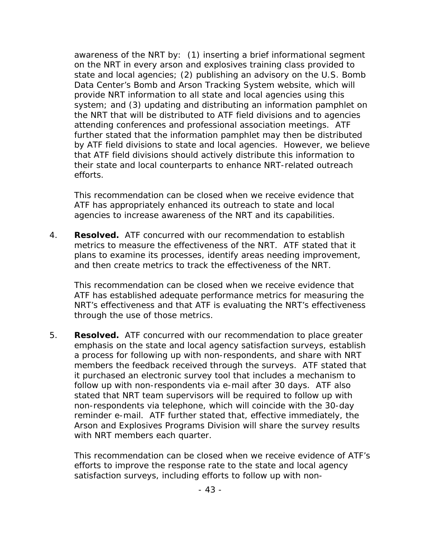awareness of the NRT by: (1) inserting a brief informational segment on the NRT in every arson and explosives training class provided to state and local agencies; (2) publishing an advisory on the U.S. Bomb Data Center's Bomb and Arson Tracking System website, which will provide NRT information to all state and local agencies using this system; and (3) updating and distributing an information pamphlet on the NRT that will be distributed to ATF field divisions and to agencies attending conferences and professional association meetings. ATF further stated that the information pamphlet *may* then be distributed by ATF field divisions to state and local agencies. However, we believe that ATF field divisions should actively distribute this information to their state and local counterparts to enhance NRT-related outreach efforts.

This recommendation can be closed when we receive evidence that ATF has appropriately enhanced its outreach to state and local agencies to increase awareness of the NRT and its capabilities.

4. **Resolved.** ATF concurred with our recommendation to establish metrics to measure the effectiveness of the NRT. ATF stated that it plans to examine its processes, identify areas needing improvement, and then create metrics to track the effectiveness of the NRT.

This recommendation can be closed when we receive evidence that ATF has established adequate performance metrics for measuring the NRT's effectiveness and that ATF is evaluating the NRT's effectiveness through the use of those metrics.

5. **Resolved.** ATF concurred with our recommendation to place greater emphasis on the state and local agency satisfaction surveys, establish a process for following up with non-respondents, and share with NRT members the feedback received through the surveys. ATF stated that it purchased an electronic survey tool that includes a mechanism to follow up with non-respondents via e-mail after 30 days. ATF also stated that NRT team supervisors will be required to follow up with non-respondents via telephone, which will coincide with the 30-day reminder e-mail. ATF further stated that, effective immediately, the Arson and Explosives Programs Division will share the survey results with NRT members each quarter.

This recommendation can be closed when we receive evidence of ATF's efforts to improve the response rate to the state and local agency satisfaction surveys, including efforts to follow up with non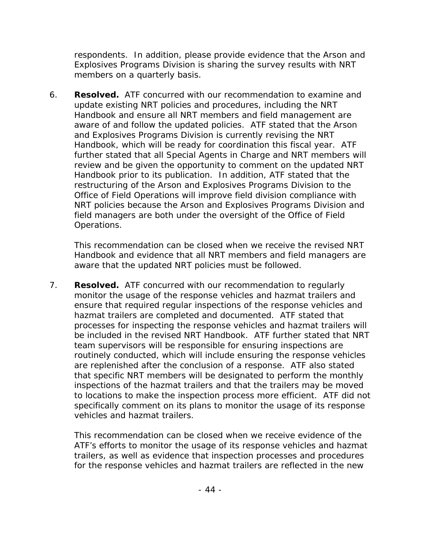respondents. In addition, please provide evidence that the Arson and Explosives Programs Division is sharing the survey results with NRT members on a quarterly basis.

6. **Resolved.** ATF concurred with our recommendation to examine and update existing NRT policies and procedures, including the NRT Handbook and ensure all NRT members and field management are aware of and follow the updated policies. ATF stated that the Arson and Explosives Programs Division is currently revising the NRT Handbook, which will be ready for coordination this fiscal year. ATF further stated that all Special Agents in Charge and NRT members will review and be given the opportunity to comment on the updated NRT Handbook prior to its publication. In addition, ATF stated that the restructuring of the Arson and Explosives Programs Division to the Office of Field Operations will improve field division compliance with NRT policies because the Arson and Explosives Programs Division and field managers are both under the oversight of the Office of Field Operations.

This recommendation can be closed when we receive the revised NRT Handbook and evidence that all NRT members and field managers are aware that the updated NRT policies must be followed.

7. **Resolved.** ATF concurred with our recommendation to regularly monitor the usage of the response vehicles and hazmat trailers and ensure that required regular inspections of the response vehicles and hazmat trailers are completed and documented. ATF stated that processes for inspecting the response vehicles and hazmat trailers will be included in the revised NRT Handbook. ATF further stated that NRT team supervisors will be responsible for ensuring inspections are routinely conducted, which will include ensuring the response vehicles are replenished after the conclusion of a response. ATF also stated that specific NRT members will be designated to perform the monthly inspections of the hazmat trailers and that the trailers may be moved to locations to make the inspection process more efficient. ATF did not specifically comment on its plans to monitor the usage of its response vehicles and hazmat trailers.

This recommendation can be closed when we receive evidence of the ATF's efforts to monitor the usage of its response vehicles and hazmat trailers, as well as evidence that inspection processes and procedures for the response vehicles and hazmat trailers are reflected in the new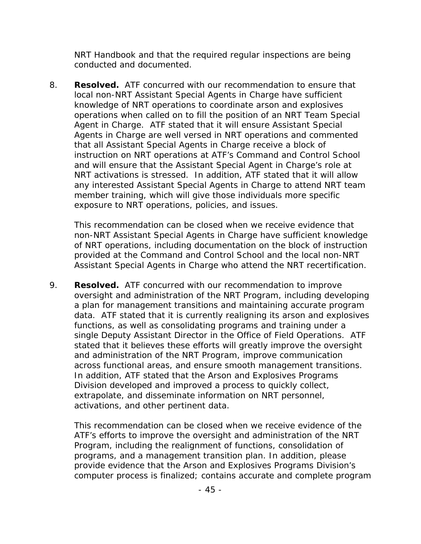NRT Handbook and that the required regular inspections are being conducted and documented.

8. **Resolved.** ATF concurred with our recommendation to ensure that local non-NRT Assistant Special Agents in Charge have sufficient knowledge of NRT operations to coordinate arson and explosives operations when called on to fill the position of an NRT Team Special Agent in Charge. ATF stated that it will ensure Assistant Special Agents in Charge are well versed in NRT operations and commented that all Assistant Special Agents in Charge receive a block of instruction on NRT operations at ATF's Command and Control School and will ensure that the Assistant Special Agent in Charge's role at NRT activations is stressed. In addition, ATF stated that it will allow any interested Assistant Special Agents in Charge to attend NRT team member training, which will give those individuals more specific exposure to NRT operations, policies, and issues.

This recommendation can be closed when we receive evidence that non-NRT Assistant Special Agents in Charge have sufficient knowledge of NRT operations, including documentation on the block of instruction provided at the Command and Control School and the local non-NRT Assistant Special Agents in Charge who attend the NRT recertification.

9. **Resolved.** ATF concurred with our recommendation to improve oversight and administration of the NRT Program, including developing a plan for management transitions and maintaining accurate program data. ATF stated that it is currently realigning its arson and explosives functions, as well as consolidating programs and training under a single Deputy Assistant Director in the Office of Field Operations. ATF stated that it believes these efforts will greatly improve the oversight and administration of the NRT Program, improve communication across functional areas, and ensure smooth management transitions. In addition, ATF stated that the Arson and Explosives Programs Division developed and improved a process to quickly collect, extrapolate, and disseminate information on NRT personnel, activations, and other pertinent data.

This recommendation can be closed when we receive evidence of the ATF's efforts to improve the oversight and administration of the NRT Program, including the realignment of functions, consolidation of programs, and a management transition plan. In addition, please provide evidence that the Arson and Explosives Programs Division's computer process is finalized; contains accurate and complete program